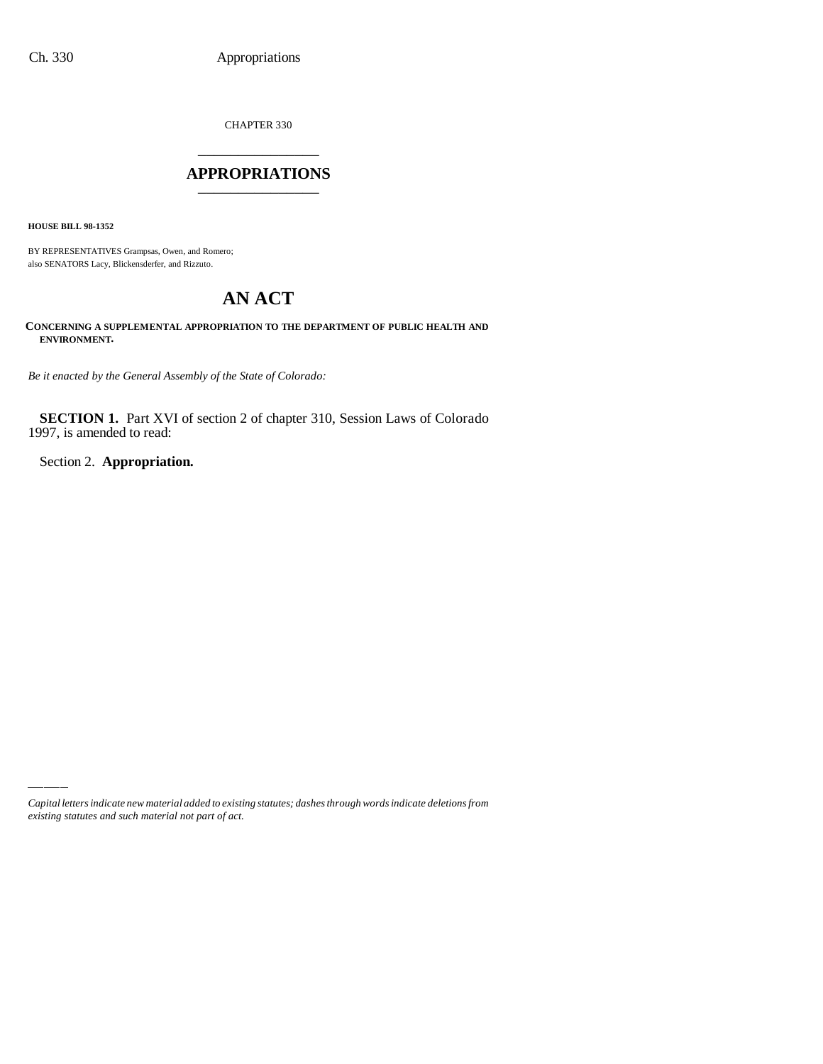CHAPTER 330 \_\_\_\_\_\_\_\_\_\_\_\_\_\_\_

## **APPROPRIATIONS** \_\_\_\_\_\_\_\_\_\_\_\_\_\_\_

**HOUSE BILL 98-1352**

BY REPRESENTATIVES Grampsas, Owen, and Romero; also SENATORS Lacy, Blickensderfer, and Rizzuto.

# **AN ACT**

**CONCERNING A SUPPLEMENTAL APPROPRIATION TO THE DEPARTMENT OF PUBLIC HEALTH AND ENVIRONMENT.**

*Be it enacted by the General Assembly of the State of Colorado:*

**SECTION 1.** Part XVI of section 2 of chapter 310, Session Laws of Colorado 1997, is amended to read:

Section 2. **Appropriation.**

*Capital letters indicate new material added to existing statutes; dashes through words indicate deletions from existing statutes and such material not part of act.*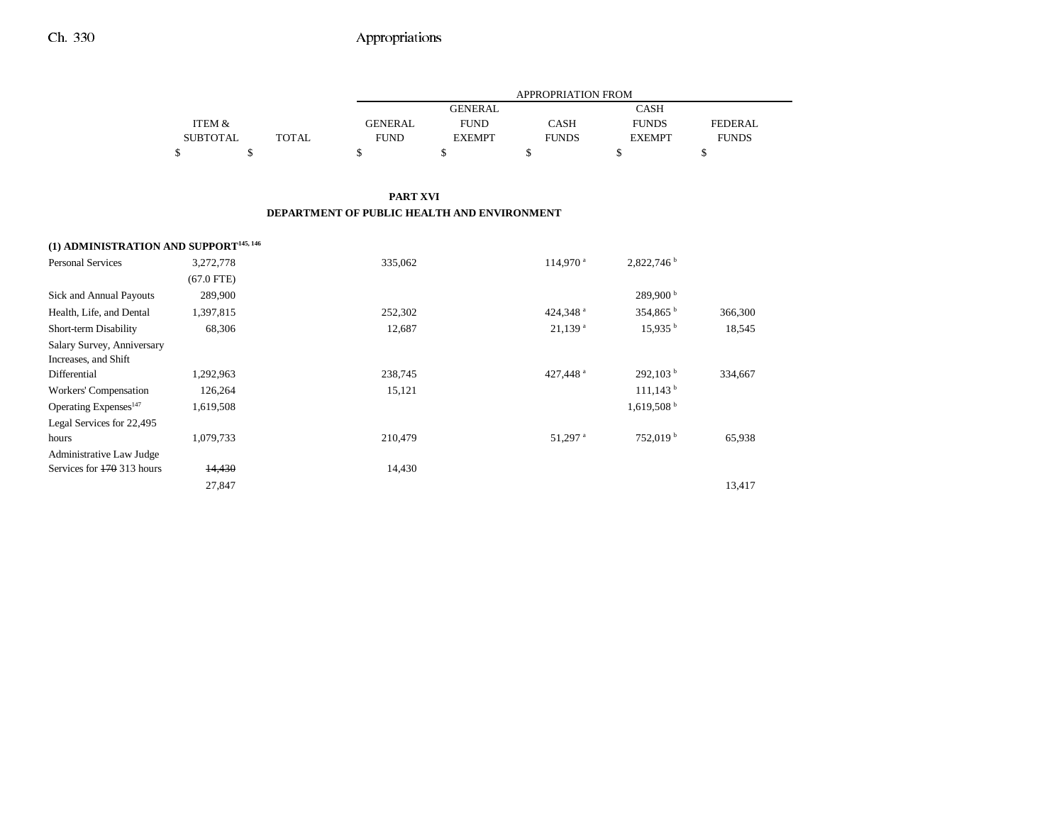|                                                    |                   |              |                                             |                | APPROPRIATION FROM    |                          |                |
|----------------------------------------------------|-------------------|--------------|---------------------------------------------|----------------|-----------------------|--------------------------|----------------|
|                                                    |                   |              |                                             | <b>GENERAL</b> |                       | <b>CASH</b>              |                |
|                                                    | <b>ITEM &amp;</b> |              | <b>GENERAL</b>                              | <b>FUND</b>    | <b>CASH</b>           | <b>FUNDS</b>             | <b>FEDERAL</b> |
|                                                    | <b>SUBTOTAL</b>   | <b>TOTAL</b> | <b>FUND</b>                                 | <b>EXEMPT</b>  | <b>FUNDS</b>          | <b>EXEMPT</b>            | <b>FUNDS</b>   |
|                                                    | \$                | \$           | \$                                          | \$             | \$                    | \$                       | \$             |
|                                                    |                   |              | <b>PART XVI</b>                             |                |                       |                          |                |
|                                                    |                   |              | DEPARTMENT OF PUBLIC HEALTH AND ENVIRONMENT |                |                       |                          |                |
| (1) ADMINISTRATION AND SUPPORT <sup>145, 146</sup> |                   |              |                                             |                |                       |                          |                |
| <b>Personal Services</b>                           | 3,272,778         |              | 335,062                                     |                | 114,970 <sup>a</sup>  | 2,822,746 b              |                |
|                                                    | $(67.0$ FTE)      |              |                                             |                |                       |                          |                |
| Sick and Annual Payouts                            | 289,900           |              |                                             |                |                       | 289,900 <sup>b</sup>     |                |
| Health, Life, and Dental                           | 1,397,815         |              | 252,302                                     |                | 424,348 <sup>a</sup>  | 354,865 <sup>b</sup>     | 366,300        |
| Short-term Disability                              | 68,306            |              | 12,687                                      |                | $21,139$ <sup>a</sup> | 15,935 <sup>b</sup>      | 18,545         |
| Salary Survey, Anniversary                         |                   |              |                                             |                |                       |                          |                |
| Increases, and Shift                               |                   |              |                                             |                |                       |                          |                |
| Differential                                       | 1,292,963         |              | 238,745                                     |                | 427,448 <sup>a</sup>  | 292,103 <sup>b</sup>     | 334,667        |
| Workers' Compensation                              | 126,264           |              | 15,121                                      |                |                       | $111,143$ <sup>b</sup>   |                |
| Operating Expenses <sup>147</sup>                  | 1,619,508         |              |                                             |                |                       | $1,619,508$ <sup>b</sup> |                |
| Legal Services for 22,495                          |                   |              |                                             |                |                       |                          |                |
| hours                                              | 1,079,733         |              | 210,479                                     |                | 51,297 a              | 752,019 <sup>b</sup>     | 65,938         |
| Administrative Law Judge                           |                   |              |                                             |                |                       |                          |                |
| Services for 170 313 hours                         | 14,430            |              | 14,430                                      |                |                       |                          |                |
|                                                    | 27,847            |              |                                             |                |                       |                          | 13,417         |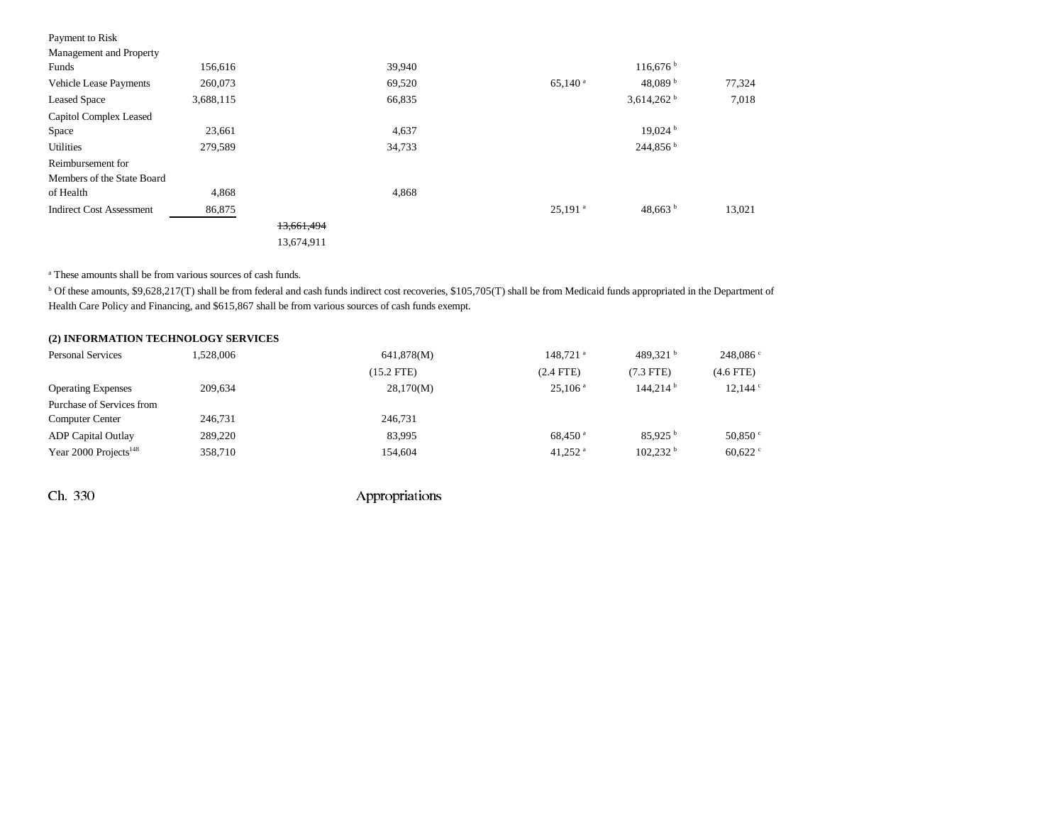| Payment to Risk                 |           |            |        |                       |                        |        |
|---------------------------------|-----------|------------|--------|-----------------------|------------------------|--------|
| Management and Property         |           |            |        |                       |                        |        |
| Funds                           | 156,616   |            | 39,940 |                       | 116,676                |        |
| Vehicle Lease Payments          | 260,073   |            | 69,520 | $65,140^{\text{ a}}$  | 48,089 $^{\rm b}$      | 77,324 |
| <b>Leased Space</b>             | 3,688,115 |            | 66,835 |                       | 3,614,262 $^{\rm b}$   | 7,018  |
| Capitol Complex Leased          |           |            |        |                       |                        |        |
| Space                           | 23,661    |            | 4,637  |                       | 19,024                 |        |
| <b>Utilities</b>                | 279,589   |            | 34,733 |                       | $244,856^{\mathrm{b}}$ |        |
| Reimbursement for               |           |            |        |                       |                        |        |
| Members of the State Board      |           |            |        |                       |                        |        |
| of Health                       | 4,868     |            | 4,868  |                       |                        |        |
| <b>Indirect Cost Assessment</b> | 86,875    |            |        | $25,191$ <sup>a</sup> | 48,663 $b$             | 13,021 |
|                                 |           | 13,661,494 |        |                       |                        |        |
|                                 |           | 13,674,911 |        |                       |                        |        |

a These amounts shall be from various sources of cash funds.

<sup>b</sup> Of these amounts, \$9,628,217(T) shall be from federal and cash funds indirect cost recoveries, \$105,705(T) shall be from Medicaid funds appropriated in the Department of Health Care Policy and Financing, and \$615,867 shall be from various sources of cash funds exempt.

| (2) INFORMATION TECHNOLOGY SERVICES |           |              |                       |                      |                  |
|-------------------------------------|-----------|--------------|-----------------------|----------------------|------------------|
| <b>Personal Services</b>            | 1.528,006 | 641,878(M)   | 148.721 <sup>a</sup>  | 489.321 $^{\rm b}$   | 248,086°         |
|                                     |           | $(15.2$ FTE) | $(2.4$ FTE $)$        | $(7.3$ FTE)          | $(4.6$ FTE)      |
| <b>Operating Expenses</b>           | 209,634   | 28,170(M)    | $25.106$ <sup>a</sup> | 144.214 <sup>b</sup> | 12,144°          |
| Purchase of Services from           |           |              |                       |                      |                  |
| <b>Computer Center</b>              | 246,731   | 246,731      |                       |                      |                  |
| <b>ADP</b> Capital Outlay           | 289,220   | 83.995       | $68.450$ <sup>a</sup> | 85.925 <sup>b</sup>  | 50,850 $\degree$ |
| Year 2000 Projects <sup>148</sup>   | 358,710   | 154,604      | $41.252$ <sup>a</sup> | 102.232 <sup>b</sup> | 60,622           |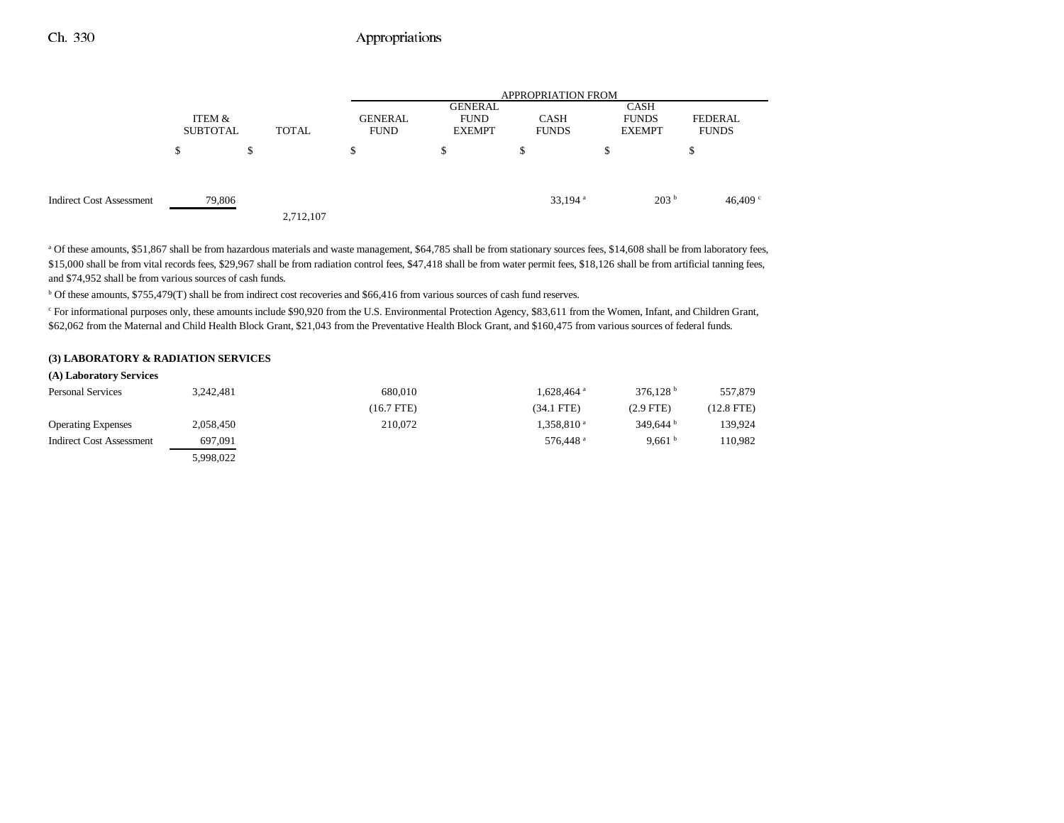|                                 |                           |              |                               | <b>APPROPRIATION FROM</b>                      |                             |                                       |                         |  |  |
|---------------------------------|---------------------------|--------------|-------------------------------|------------------------------------------------|-----------------------------|---------------------------------------|-------------------------|--|--|
|                                 | ITEM &<br><b>SUBTOTAL</b> | <b>TOTAL</b> | <b>GENERAL</b><br><b>FUND</b> | <b>GENERAL</b><br><b>FUND</b><br><b>EXEMPT</b> | <b>CASH</b><br><b>FUNDS</b> | CASH<br><b>FUNDS</b><br><b>EXEMPT</b> | FEDERAL<br><b>FUNDS</b> |  |  |
|                                 | \$                        | \$           | S                             | \$                                             | S                           | хD                                    | \$                      |  |  |
| <b>Indirect Cost Assessment</b> | 79,806                    | 2,712,107    |                               |                                                | 33,194 $a$                  | 203 <sup>b</sup>                      | 46,409 $\degree$        |  |  |

<sup>a</sup> Of these amounts, \$51,867 shall be from hazardous materials and waste management, \$64,785 shall be from stationary sources fees, \$14,608 shall be from laboratory fees, \$15,000 shall be from vital records fees, \$29,967 shall be from radiation control fees, \$47,418 shall be from water permit fees, \$18,126 shall be from artificial tanning fees, and \$74,952 shall be from various sources of cash funds.

<sup>b</sup> Of these amounts, \$755,479(T) shall be from indirect cost recoveries and \$66,416 from various sources of cash fund reserves.

c For informational purposes only, these amounts include \$90,920 from the U.S. Environmental Protection Agency, \$83,611 from the Women, Infant, and Children Grant, \$62,062 from the Maternal and Child Health Block Grant, \$21,043 from the Preventative Health Block Grant, and \$160,475 from various sources of federal funds.

### **(3) LABORATORY & RADIATION SERVICES**

| (A) Laboratory Services   |           |              |                        |                    |              |
|---------------------------|-----------|--------------|------------------------|--------------------|--------------|
| <b>Personal Services</b>  | 3,242,481 | 680,010      | 1,628,464 <sup>a</sup> | 376.128 $^{\rm b}$ | 557,879      |
|                           |           | $(16.7$ FTE) | $(34.1$ FTE)           | $(2.9$ FTE)        | $(12.8$ FTE) |
| <b>Operating Expenses</b> | 2,058,450 | 210,072      | 1,358,810 <sup>a</sup> | 349.644 $^{\rm b}$ | 139.924      |
| Indirect Cost Assessment  | 697,091   |              | 576.448 <sup>a</sup>   | 9.661 $b$          | 110.982      |
|                           | 5,998,022 |              |                        |                    |              |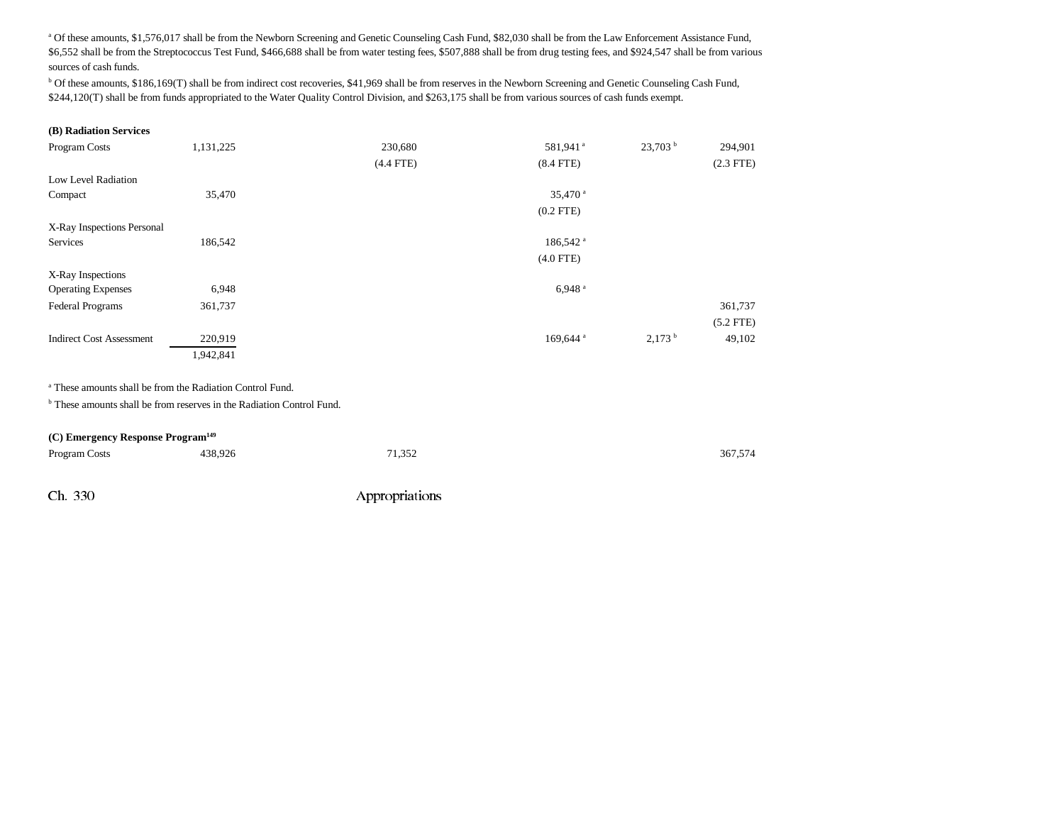<sup>a</sup> Of these amounts, \$1,576,017 shall be from the Newborn Screening and Genetic Counseling Cash Fund, \$82,030 shall be from the Law Enforcement Assistance Fund, \$6,552 shall be from the Streptococcus Test Fund, \$466,688 shall be from water testing fees, \$507,888 shall be from drug testing fees, and \$924,547 shall be from various sources of cash funds.

b Of these amounts, \$186,169(T) shall be from indirect cost recoveries, \$41,969 shall be from reserves in the Newborn Screening and Genetic Counseling Cash Fund, \$244,120(T) shall be from funds appropriated to the Water Quality Control Division, and \$263,175 shall be from various sources of cash funds exempt.

#### **(B) Radiation Services**

| Program Costs                   | 1,131,225 | 230,680     | 581,941 <sup>a</sup> | 23,703 <sup>b</sup>  | 294,901     |
|---------------------------------|-----------|-------------|----------------------|----------------------|-------------|
|                                 |           | $(4.4$ FTE) | $(8.4$ FTE)          |                      | $(2.3$ FTE) |
| Low Level Radiation             |           |             |                      |                      |             |
| Compact                         | 35,470    |             | 35,470 <sup>a</sup>  |                      |             |
|                                 |           |             | $(0.2$ FTE)          |                      |             |
| X-Ray Inspections Personal      |           |             |                      |                      |             |
| Services                        | 186,542   |             | 186,542 <sup>a</sup> |                      |             |
|                                 |           |             | $(4.0$ FTE)          |                      |             |
| X-Ray Inspections               |           |             |                      |                      |             |
| <b>Operating Expenses</b>       | 6,948     |             | $6,948$ <sup>a</sup> |                      |             |
| Federal Programs                | 361,737   |             |                      |                      | 361,737     |
|                                 |           |             |                      |                      | $(5.2$ FTE) |
| <b>Indirect Cost Assessment</b> | 220,919   |             | 169,644 <sup>a</sup> | $2,173$ <sup>b</sup> | 49,102      |
|                                 | 1,942,841 |             |                      |                      |             |

a These amounts shall be from the Radiation Control Fund.

<sup>b</sup> These amounts shall be from reserves in the Radiation Control Fund.

#### **(C) Emergency Response Program149**

| Program Costs | 438,926 | 71,352         | 367,574 |
|---------------|---------|----------------|---------|
|               |         |                |         |
| Ch. 330       |         | Appropriations |         |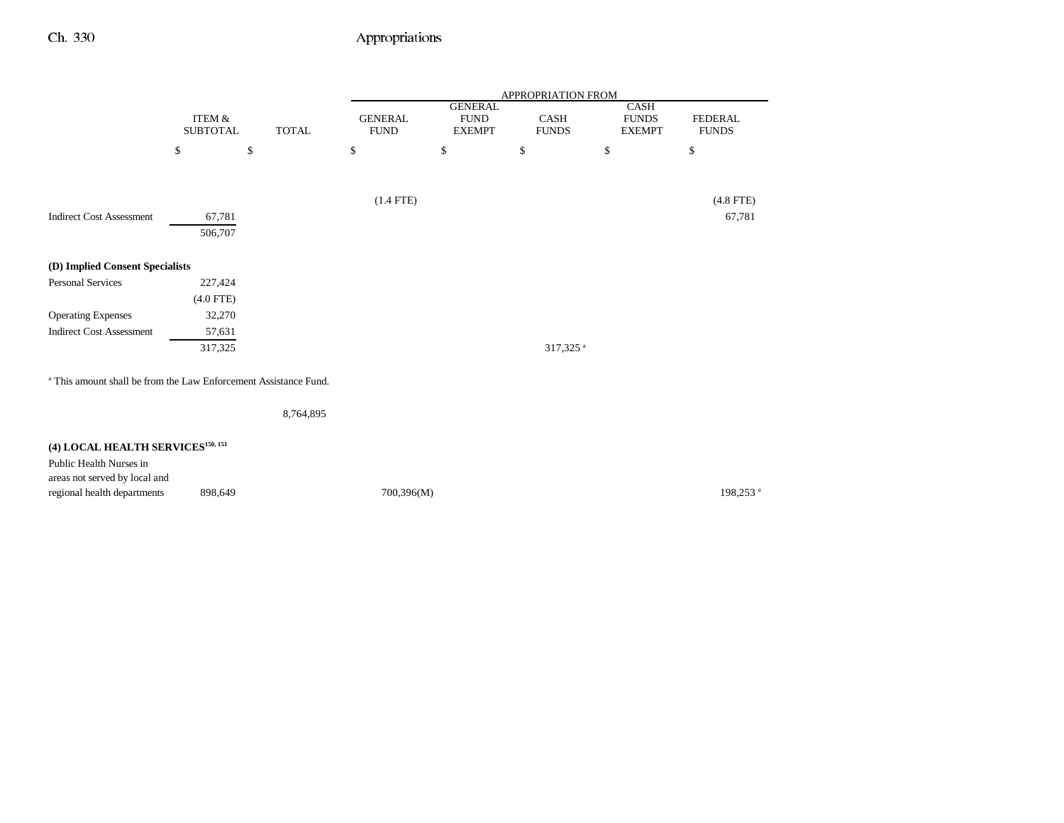|                                                                             |                                      |              |                               |                                                | APPROPRIATION FROM   |                                              |                                |
|-----------------------------------------------------------------------------|--------------------------------------|--------------|-------------------------------|------------------------------------------------|----------------------|----------------------------------------------|--------------------------------|
|                                                                             | <b>ITEM &amp;</b><br><b>SUBTOTAL</b> | <b>TOTAL</b> | <b>GENERAL</b><br><b>FUND</b> | <b>GENERAL</b><br><b>FUND</b><br><b>EXEMPT</b> | CASH<br><b>FUNDS</b> | <b>CASH</b><br><b>FUNDS</b><br><b>EXEMPT</b> | <b>FEDERAL</b><br><b>FUNDS</b> |
|                                                                             | \$                                   | \$           | \$                            | \$                                             | $\mathbb{S}$         | \$                                           | $\mathbb{S}$                   |
|                                                                             |                                      |              | $(1.4$ FTE)                   |                                                |                      |                                              | $(4.8$ FTE)                    |
| <b>Indirect Cost Assessment</b>                                             | 67,781<br>506,707                    |              |                               |                                                |                      |                                              | 67,781                         |
| (D) Implied Consent Specialists                                             |                                      |              |                               |                                                |                      |                                              |                                |
| Personal Services                                                           | 227,424                              |              |                               |                                                |                      |                                              |                                |
|                                                                             | $(4.0$ FTE)                          |              |                               |                                                |                      |                                              |                                |
| <b>Operating Expenses</b>                                                   | 32,270                               |              |                               |                                                |                      |                                              |                                |
| <b>Indirect Cost Assessment</b>                                             | 57,631                               |              |                               |                                                |                      |                                              |                                |
|                                                                             | 317,325                              |              |                               |                                                | 317,325 <sup>a</sup> |                                              |                                |
| <sup>a</sup> This amount shall be from the Law Enforcement Assistance Fund. |                                      |              |                               |                                                |                      |                                              |                                |
|                                                                             |                                      | 8,764,895    |                               |                                                |                      |                                              |                                |
| (4) LOCAL HEALTH SERVICES <sup>150, 151</sup>                               |                                      |              |                               |                                                |                      |                                              |                                |
| Public Health Nurses in<br>areas not served by local and                    |                                      |              |                               |                                                |                      |                                              |                                |
| regional health departments                                                 | 898,649                              |              | 700,396(M)                    |                                                |                      |                                              | 198,253 <sup>a</sup>           |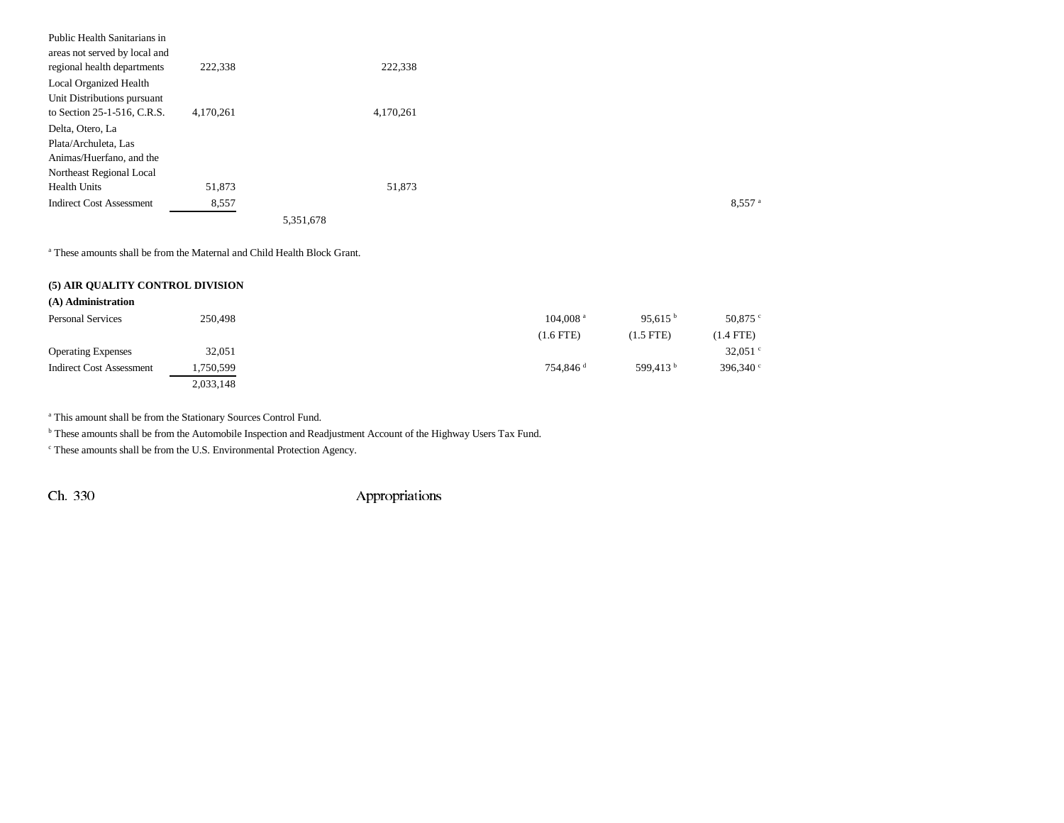| Public Health Sanitarians in                                 |           |           |           |  |                      |
|--------------------------------------------------------------|-----------|-----------|-----------|--|----------------------|
| areas not served by local and<br>regional health departments | 222,338   |           | 222,338   |  |                      |
| Local Organized Health                                       |           |           |           |  |                      |
| Unit Distributions pursuant                                  |           |           |           |  |                      |
| to Section 25-1-516, C.R.S.                                  | 4,170,261 |           | 4,170,261 |  |                      |
| Delta, Otero, La                                             |           |           |           |  |                      |
| Plata/Archuleta, Las                                         |           |           |           |  |                      |
| Animas/Huerfano, and the                                     |           |           |           |  |                      |
| Northeast Regional Local                                     |           |           |           |  |                      |
| <b>Health Units</b>                                          | 51,873    |           | 51,873    |  |                      |
| <b>Indirect Cost Assessment</b>                              | 8,557     |           |           |  | $8,557$ <sup>a</sup> |
|                                                              |           | 5,351,678 |           |  |                      |

a These amounts shall be from the Maternal and Child Health Block Grant.

#### **(5) AIR QUALITY CONTROL DIVISION**

| (A) Administration        |           |                        |                                         |  |
|---------------------------|-----------|------------------------|-----------------------------------------|--|
| <b>Personal Services</b>  | 250.498   | $104.008$ <sup>a</sup> | 95.615 $^{\rm b}$<br>50,875 $\degree$   |  |
|                           |           | $(1.6$ FTE)            | $(1.5$ FTE)<br>$(1.4$ FTE)              |  |
| <b>Operating Expenses</b> | 32,051    |                        | 32,051 $\degree$                        |  |
| Indirect Cost Assessment  | 1,750,599 | 754.846 <sup>d</sup>   | 599.413 $^{\rm b}$<br>396,340 $\degree$ |  |
|                           | 2,033,148 |                        |                                         |  |

a This amount shall be from the Stationary Sources Control Fund.

b These amounts shall be from the Automobile Inspection and Readjustment Account of the Highway Users Tax Fund.

c These amounts shall be from the U.S. Environmental Protection Agency.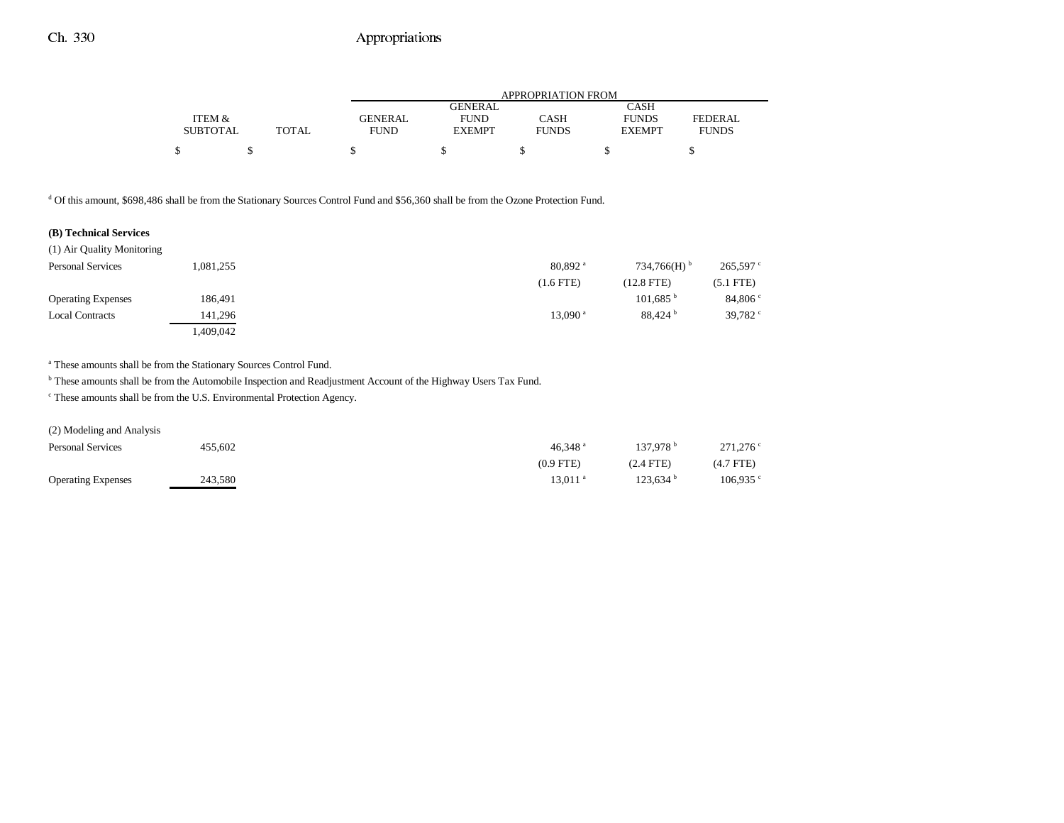|                 |       |             | APPROPRIATION FROM |              |               |                |  |  |
|-----------------|-------|-------------|--------------------|--------------|---------------|----------------|--|--|
|                 |       |             | <b>GENERAL</b>     |              | <b>CASH</b>   |                |  |  |
| ITEM &          |       | GENERAL     | <b>FUND</b>        | CASH         | <b>FUNDS</b>  | <b>FEDERAL</b> |  |  |
| <b>SUBTOTAL</b> | TOTAL | <b>FUND</b> | <b>EXEMPT</b>      | <b>FUNDS</b> | <b>EXEMPT</b> | <b>FUNDS</b>   |  |  |
|                 |       |             |                    |              |               |                |  |  |
|                 |       |             |                    |              |               |                |  |  |

<sup>d</sup> Of this amount, \$698,486 shall be from the Stationary Sources Control Fund and \$56,360 shall be from the Ozone Protection Fund.

### **(B) Technical Services**

| (1) Air Quality Monitoring |           |                       |                           |                  |
|----------------------------|-----------|-----------------------|---------------------------|------------------|
| <b>Personal Services</b>   | 1,081,255 | $80.892$ <sup>a</sup> | $734.766(H)$ <sup>b</sup> | $265,597$ c      |
|                            |           | $(1.6$ FTE $)$        | $(12.8$ FTE)              | $(5.1$ FTE $)$   |
| <b>Operating Expenses</b>  | 186,491   |                       | 101.685 <sup>b</sup>      | 84,806°          |
| <b>Local Contracts</b>     | 141.296   | $13.090$ <sup>a</sup> | 88.424 <sup>b</sup>       | 39,782 $\degree$ |
|                            | .409.042  |                       |                           |                  |

a These amounts shall be from the Stationary Sources Control Fund.

b These amounts shall be from the Automobile Inspection and Readjustment Account of the Highway Users Tax Fund.

c These amounts shall be from the U.S. Environmental Protection Agency.

#### (2) Modeling and Analysis

| <b>Personal Services</b>  | 455,602 | 46.348 $^{\circ}$ | 137.978 <sup>b</sup> | $271.276$ ° |
|---------------------------|---------|-------------------|----------------------|-------------|
|                           |         | $(0.9$ FTE)       | $(2.4$ FTE)          | $(4.7$ FTE) |
| <b>Operating Expenses</b> | 243.580 | 13.011 a          | 123.634 <sup>b</sup> | $106.935$ c |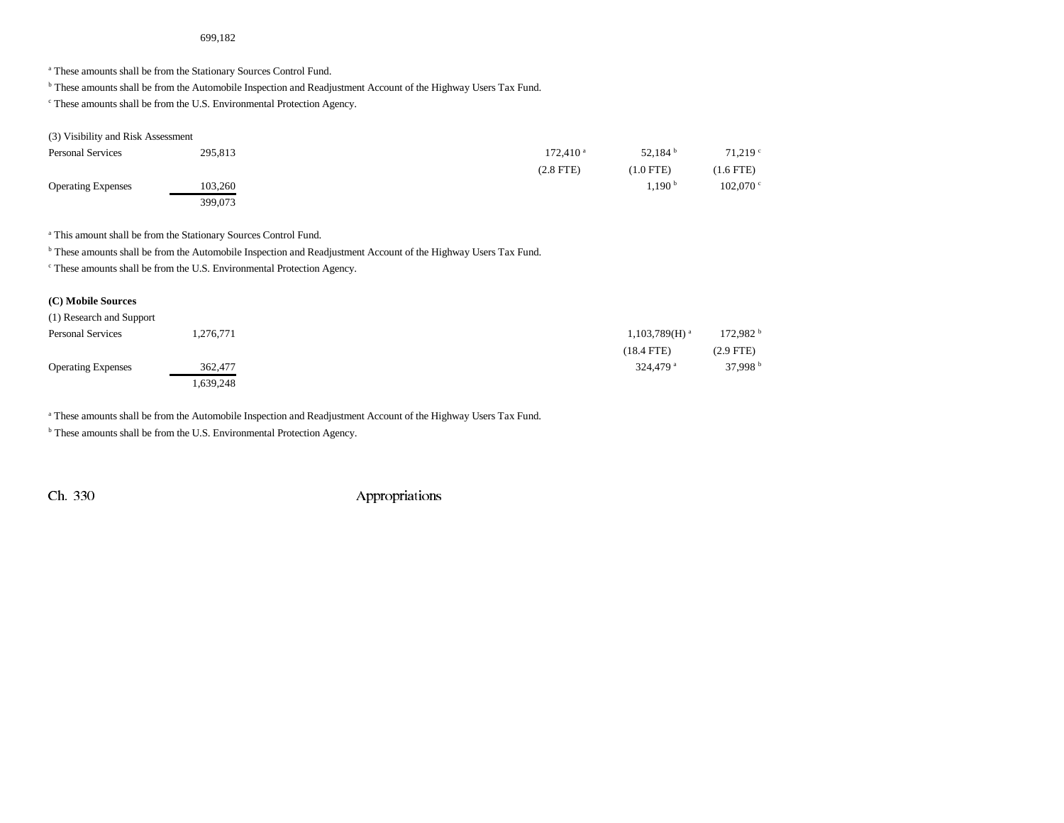### 699,182

a These amounts shall be from the Stationary Sources Control Fund.

b These amounts shall be from the Automobile Inspection and Readjustment Account of the Highway Users Tax Fund.

c These amounts shall be from the U.S. Environmental Protection Agency.

#### (3) Visibility and Risk Assessment

| <b>Personal Services</b>  | 295,813 | 172.410 <sup>a</sup> | 52,184 $^{\rm b}$ | $71,219$ °          |
|---------------------------|---------|----------------------|-------------------|---------------------|
|                           |         | $(2.8$ FTE $)$       | $(1.0$ FTE)       | $(1.6$ FTE)         |
| <b>Operating Expenses</b> | 103.260 |                      | $.190$ b          | $102.070$ $\degree$ |
|                           | 399,073 |                      |                   |                     |

a This amount shall be from the Stationary Sources Control Fund.

<sup>b</sup> These amounts shall be from the Automobile Inspection and Readjustment Account of the Highway Users Tax Fund.

c These amounts shall be from the U.S. Environmental Protection Agency.

## **(C) Mobile Sources**

| (1) Research and Support  |           |                        |                      |
|---------------------------|-----------|------------------------|----------------------|
| <b>Personal Services</b>  | 1,276,771 | $1,103,789(H)^{a}$     | 172,982 <sup>b</sup> |
|                           |           | $(18.4$ FTE)           | $(2.9$ FTE)          |
| <b>Operating Expenses</b> | 362,477   | $324.479$ <sup>a</sup> | 37.998 $^{\rm b}$    |
|                           | .639,248  |                        |                      |

a These amounts shall be from the Automobile Inspection and Readjustment Account of the Highway Users Tax Fund.

**b** These amounts shall be from the U.S. Environmental Protection Agency.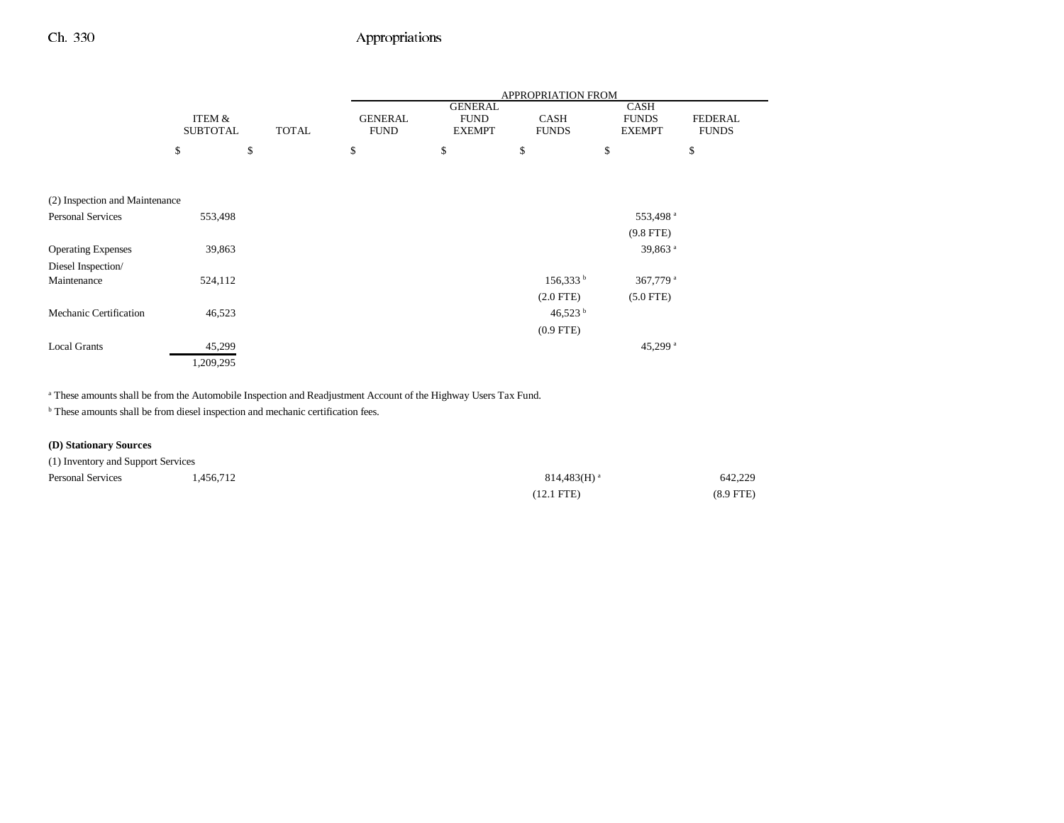|                                |                 |              |                |                               | APPROPRIATION FROM |                             |                |
|--------------------------------|-----------------|--------------|----------------|-------------------------------|--------------------|-----------------------------|----------------|
|                                | ITEM &          |              | <b>GENERAL</b> | <b>GENERAL</b><br><b>FUND</b> | <b>CASH</b>        | <b>CASH</b><br><b>FUNDS</b> | <b>FEDERAL</b> |
|                                | <b>SUBTOTAL</b> | <b>TOTAL</b> | <b>FUND</b>    | <b>EXEMPT</b>                 | <b>FUNDS</b>       | <b>EXEMPT</b>               | <b>FUNDS</b>   |
|                                | \$<br>\$        |              | \$             | \$                            | \$                 | \$                          | \$             |
|                                |                 |              |                |                               |                    |                             |                |
|                                |                 |              |                |                               |                    |                             |                |
| (2) Inspection and Maintenance |                 |              |                |                               |                    |                             |                |
| <b>Personal Services</b>       | 553,498         |              |                |                               |                    | 553,498 <sup>a</sup>        |                |
|                                |                 |              |                |                               |                    | $(9.8$ FTE)                 |                |
| <b>Operating Expenses</b>      | 39,863          |              |                |                               |                    | 39,863 <sup>a</sup>         |                |
| Diesel Inspection/             |                 |              |                |                               |                    |                             |                |
| Maintenance                    | 524,112         |              |                |                               | $156,333^b$        | 367,779 <sup>a</sup>        |                |
|                                |                 |              |                |                               | $(2.0$ FTE $)$     | $(5.0$ FTE)                 |                |
| Mechanic Certification         | 46,523          |              |                |                               | 46,523 $^{\rm b}$  |                             |                |
|                                |                 |              |                |                               | $(0.9$ FTE)        |                             |                |
| <b>Local Grants</b>            | 45,299          |              |                |                               |                    | 45,299 $a$                  |                |
|                                | 1,209,295       |              |                |                               |                    |                             |                |

a These amounts shall be from the Automobile Inspection and Readjustment Account of the Highway Users Tax Fund.

 $^{\rm b}$  These amounts shall be from diesel inspection and mechanic certification fees.

## **(D) Stationary Sources**

| (1) Inventory and Support Services |           |                           |             |
|------------------------------------|-----------|---------------------------|-------------|
| <b>Personal Services</b>           | 1.456.712 | $814.483(H)$ <sup>a</sup> | 642.229     |
|                                    |           | $(12.1 \text{ FTE})$      | $(8.9$ FTE) |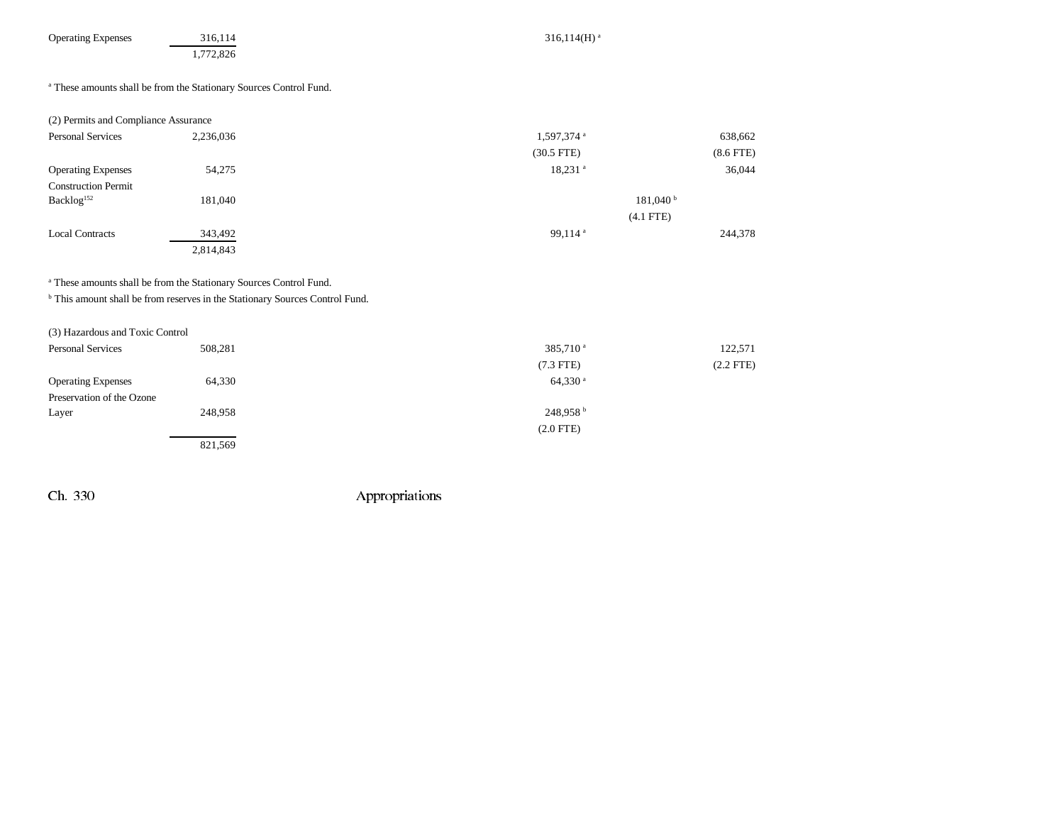| <b>Operating Expenses</b> |  |
|---------------------------|--|
|---------------------------|--|

a These amounts shall be from the Stationary Sources Control Fund.

| (2) Permits and Compliance Assurance |           |                        |             |
|--------------------------------------|-----------|------------------------|-------------|
| <b>Personal Services</b>             | 2,236,036 | 1,597,374 <sup>a</sup> | 638,662     |
|                                      |           | $(30.5$ FTE)           | $(8.6$ FTE) |
| <b>Operating Expenses</b>            | 54,275    | $18,231$ <sup>a</sup>  | 36,044      |
| <b>Construction Permit</b>           |           |                        |             |
| Backlog <sup>152</sup>               | 181,040   | $181,040^{\mathrm{b}}$ |             |
|                                      |           | $(4.1$ FTE)            |             |
| <b>Local Contracts</b>               | 343,492   | 99,114 $a$             | 244,378     |
|                                      | 2,814,843 |                        |             |

a These amounts shall be from the Stationary Sources Control Fund.

**b** This amount shall be from reserves in the Stationary Sources Control Fund.

| (3) Hazardous and Toxic Control |         |                       |             |
|---------------------------------|---------|-----------------------|-------------|
| <b>Personal Services</b>        | 508,281 | 385,710 <sup>a</sup>  | 122,571     |
|                                 |         | $(7.3$ FTE)           | $(2.2$ FTE) |
| <b>Operating Expenses</b>       | 64,330  | $64,330$ <sup>a</sup> |             |
| Preservation of the Ozone       |         |                       |             |
| Layer                           | 248,958 | 248,958 <sup>b</sup>  |             |
|                                 |         | $(2.0$ FTE)           |             |
|                                 | 821,569 |                       |             |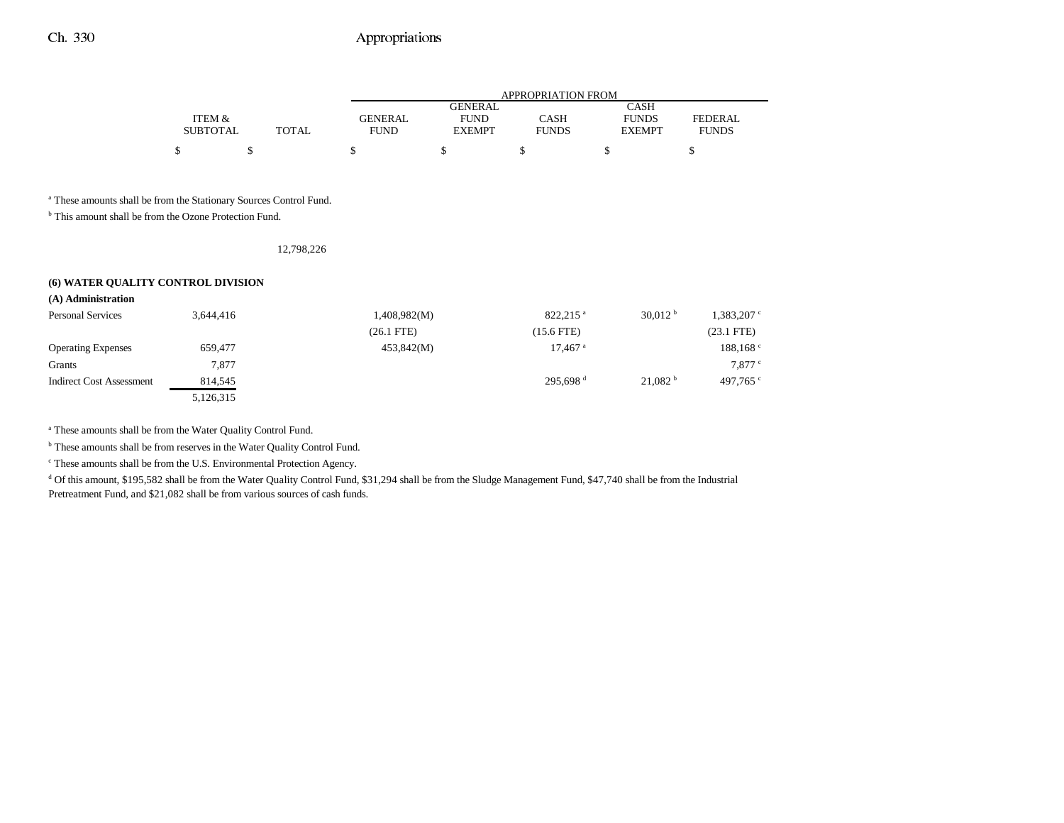|                 |       |             | APPROPRIATION FROM |              |               |                |  |  |
|-----------------|-------|-------------|--------------------|--------------|---------------|----------------|--|--|
|                 |       |             | GENERAL            |              | CASH          |                |  |  |
| ITEM &          |       | GENERAL     | <b>FUND</b>        | CASH         | <b>FUNDS</b>  | <b>FEDERAL</b> |  |  |
| <b>SUBTOTAL</b> | TOTAL | <b>FUND</b> | <b>EXEMPT</b>      | <b>FUNDS</b> | <b>EXEMPT</b> | <b>FUNDS</b>   |  |  |
|                 |       |             |                    |              |               |                |  |  |

a These amounts shall be from the Stationary Sources Control Fund.

<sup>b</sup> This amount shall be from the Ozone Protection Fund.

12,798,226

### **(6) WATER QUALITY CONTROL DIVISION**

| (A) Administration              |           |              |                       |                     |                      |
|---------------------------------|-----------|--------------|-----------------------|---------------------|----------------------|
| <b>Personal Services</b>        | 3,644,416 | 1,408,982(M) | 822.215 <sup>a</sup>  | 30.012 <sup>b</sup> | $1,383,207$ c        |
|                                 |           | $(26.1$ FTE) | (15.6 FTE)            |                     | $(23.1$ FTE)         |
| <b>Operating Expenses</b>       | 659,477   | 453,842(M)   | $17,467$ <sup>a</sup> |                     | 188,168 <sup>c</sup> |
| Grants                          | 7,877     |              |                       |                     | $7,877$ $\degree$    |
| <b>Indirect Cost Assessment</b> | 814,545   |              | 295.698 <sup>d</sup>  | 21.082 <sup>b</sup> | 497.765 $\degree$    |
|                                 | 5,126,315 |              |                       |                     |                      |

a These amounts shall be from the Water Quality Control Fund.

<sup>b</sup> These amounts shall be from reserves in the Water Quality Control Fund.

c These amounts shall be from the U.S. Environmental Protection Agency.

<sup>d</sup> Of this amount, \$195,582 shall be from the Water Quality Control Fund, \$31,294 shall be from the Sludge Management Fund, \$47,740 shall be from the Industrial Pretreatment Fund, and \$21,082 shall be from various sources of cash funds.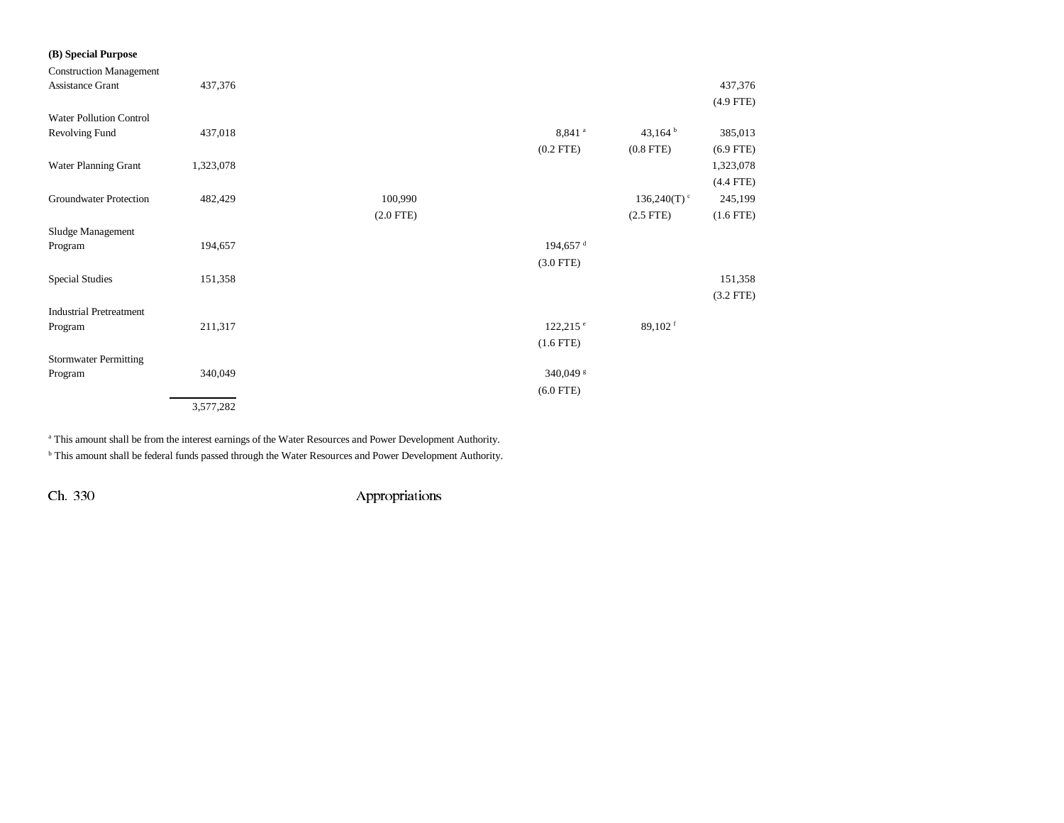| (B) Special Purpose            |           |             |                       |                           |             |
|--------------------------------|-----------|-------------|-----------------------|---------------------------|-------------|
| <b>Construction Management</b> |           |             |                       |                           |             |
| <b>Assistance Grant</b>        | 437,376   |             |                       |                           | 437,376     |
|                                |           |             |                       |                           | $(4.9$ FTE) |
| <b>Water Pollution Control</b> |           |             |                       |                           |             |
| Revolving Fund                 | 437,018   |             | 8,841 <sup>a</sup>    | 43,164 $b$                | 385,013     |
|                                |           |             | $(0.2$ FTE)           | $(0.8$ FTE $)$            | $(6.9$ FTE) |
| Water Planning Grant           | 1,323,078 |             |                       |                           | 1,323,078   |
|                                |           |             |                       |                           | $(4.4$ FTE) |
| Groundwater Protection         | 482,429   | 100,990     |                       | $136,240(T)$ <sup>c</sup> | 245,199     |
|                                |           | $(2.0$ FTE) |                       | $(2.5$ FTE)               | $(1.6$ FTE) |
| Sludge Management              |           |             |                       |                           |             |
| Program                        | 194,657   |             | 194,657 <sup>d</sup>  |                           |             |
|                                |           |             | $(3.0$ FTE)           |                           |             |
| <b>Special Studies</b>         | 151,358   |             |                       |                           | 151,358     |
|                                |           |             |                       |                           | $(3.2$ FTE) |
| <b>Industrial Pretreatment</b> |           |             |                       |                           |             |
| Program                        | 211,317   |             | $122,215$ $^{\circ}$  | 89,102 $f$                |             |
|                                |           |             | $(1.6$ FTE $)$        |                           |             |
| <b>Stormwater Permitting</b>   |           |             |                       |                           |             |
| Program                        | 340,049   |             | 340,049 $\frac{8}{5}$ |                           |             |
|                                |           |             | $(6.0$ FTE)           |                           |             |
|                                | 3,577,282 |             |                       |                           |             |

a This amount shall be from the interest earnings of the Water Resources and Power Development Authority.

b This amount shall be federal funds passed through the Water Resources and Power Development Authority.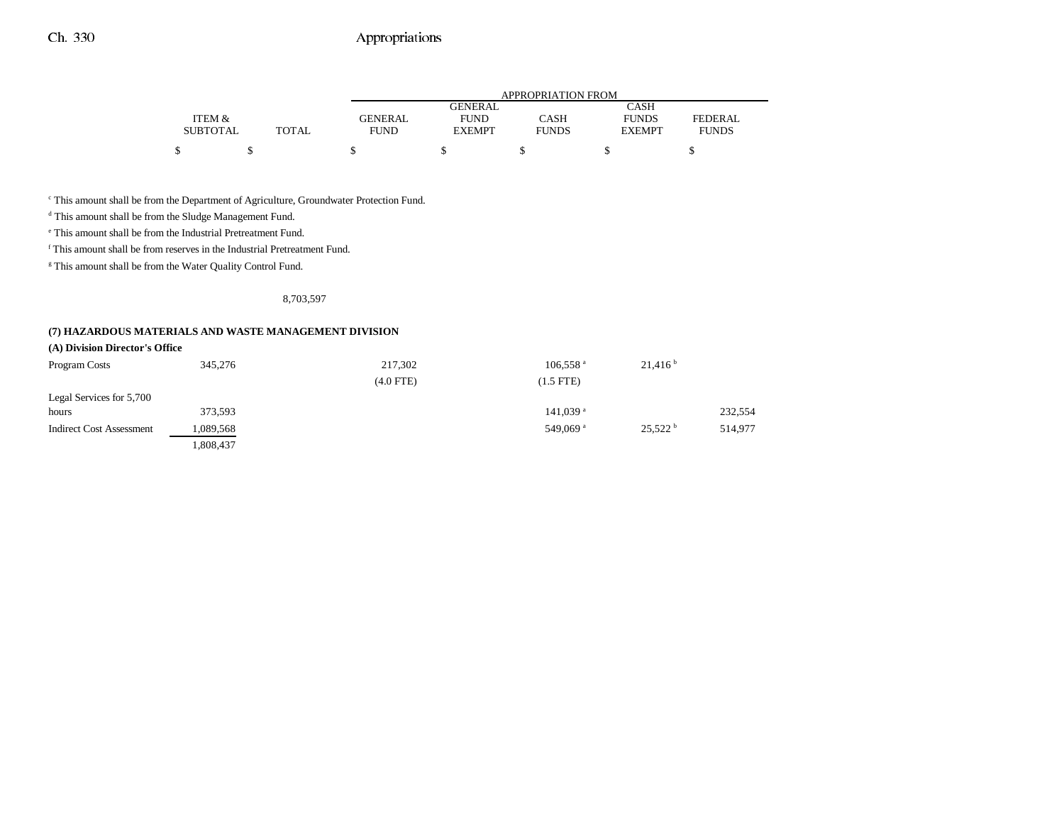|                 |       |                | APPROPRIATION FROM |              |               |              |  |  |
|-----------------|-------|----------------|--------------------|--------------|---------------|--------------|--|--|
|                 |       |                | <b>GENERAL</b>     |              | <b>CASH</b>   |              |  |  |
| ITEM &          |       | <b>GENERAL</b> | <b>FUND</b>        | CASH         | <b>FUNDS</b>  | FEDERAL      |  |  |
| <b>SUBTOTAL</b> | TOTAL | FUND           | <b>EXEMPT</b>      | <b>FUNDS</b> | <b>EXEMPT</b> | <b>FUNDS</b> |  |  |
| ¢               |       |                |                    |              |               |              |  |  |

c This amount shall be from the Department of Agriculture, Groundwater Protection Fund.

d This amount shall be from the Sludge Management Fund.

e This amount shall be from the Industrial Pretreatment Fund.

f This amount shall be from reserves in the Industrial Pretreatment Fund.

<sup>g</sup> This amount shall be from the Water Quality Control Fund.

#### 8,703,597

### **(7) HAZARDOUS MATERIALS AND WASTE MANAGEMENT DIVISION**

| (A) Division Director's Office  |           |             |                        |                     |         |
|---------------------------------|-----------|-------------|------------------------|---------------------|---------|
| Program Costs                   | 345,276   | 217,302     | $106,558$ <sup>a</sup> | 21,416 <sup>b</sup> |         |
|                                 |           | $(4.0$ FTE) | $(1.5$ FTE)            |                     |         |
| Legal Services for 5,700        |           |             |                        |                     |         |
| hours                           | 373,593   |             | $141,039$ <sup>a</sup> |                     | 232,554 |
| <b>Indirect Cost Assessment</b> | 1,089,568 |             | 549.069 <sup>a</sup>   | 25.522 <sup>b</sup> | 514,977 |
|                                 | .808,437  |             |                        |                     |         |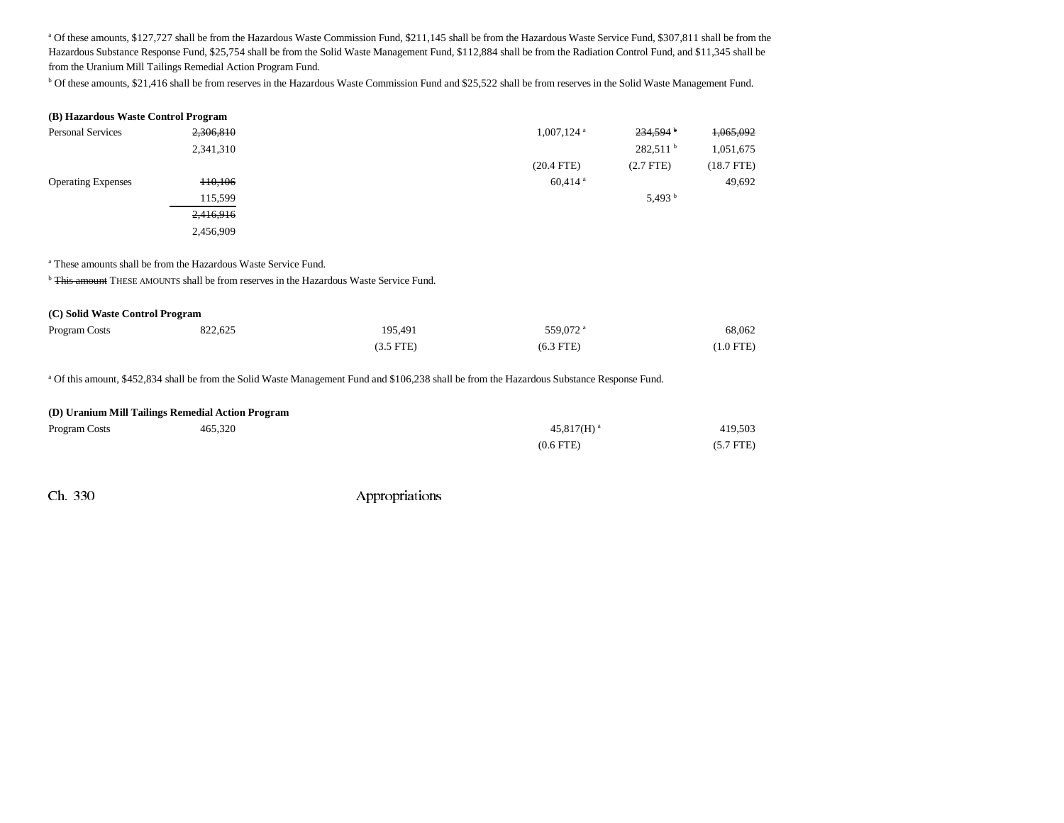<sup>a</sup> Of these amounts, \$127,727 shall be from the Hazardous Waste Commission Fund, \$211,145 shall be from the Hazardous Waste Service Fund, \$307,811 shall be from the Hazardous Substance Response Fund, \$25,754 shall be from the Solid Waste Management Fund, \$112,884 shall be from the Radiation Control Fund, and \$11,345 shall be from the Uranium Mill Tailings Remedial Action Program Fund.

b Of these amounts, \$21,416 shall be from reserves in the Hazardous Waste Commission Fund and \$25,522 shall be from reserves in the Solid Waste Management Fund.

| (B) Hazardous Waste Control Program |           |                          |                        |              |
|-------------------------------------|-----------|--------------------------|------------------------|--------------|
| Personal Services                   | 2,306,810 | $1,007,124$ <sup>a</sup> | $234,594$ <sup>b</sup> | 1,065,092    |
|                                     | 2,341,310 |                          | 282,511 <sup>b</sup>   | 1,051,675    |
|                                     |           | $(20.4$ FTE)             | $(2.7$ FTE)            | $(18.7$ FTE) |
| <b>Operating Expenses</b>           | 110,106   | $60,414$ <sup>a</sup>    |                        | 49,692       |
|                                     | 115,599   |                          | 5,493 $^{\rm b}$       |              |
|                                     | 2,416,916 |                          |                        |              |
|                                     | 2,456,909 |                          |                        |              |
|                                     |           |                          |                        |              |

a These amounts shall be from the Hazardous Waste Service Fund.

<sup>b</sup> <del>This amount</del> THESE AMOUNTS shall be from reserves in the Hazardous Waste Service Fund.

| (C) Solid Waste Control Program |         |             |                      |             |  |
|---------------------------------|---------|-------------|----------------------|-------------|--|
| Program Costs                   | 822,625 | 195,491     | 559.072 <sup>a</sup> | 68.062      |  |
|                                 |         | $(3.5$ FTE) | $(6.3$ FTE)          | $(1.0$ FTE) |  |

a Of this amount, \$452,834 shall be from the Solid Waste Management Fund and \$106,238 shall be from the Hazardous Substance Response Fund.

#### **(D) Uranium Mill Tailings Remedial Action Program**

| Program Costs | 465,320 | $45,817(H)$ <sup>a</sup> |             |
|---------------|---------|--------------------------|-------------|
|               |         | $(0.6$ FTE $)$           | $(5.7$ FTE) |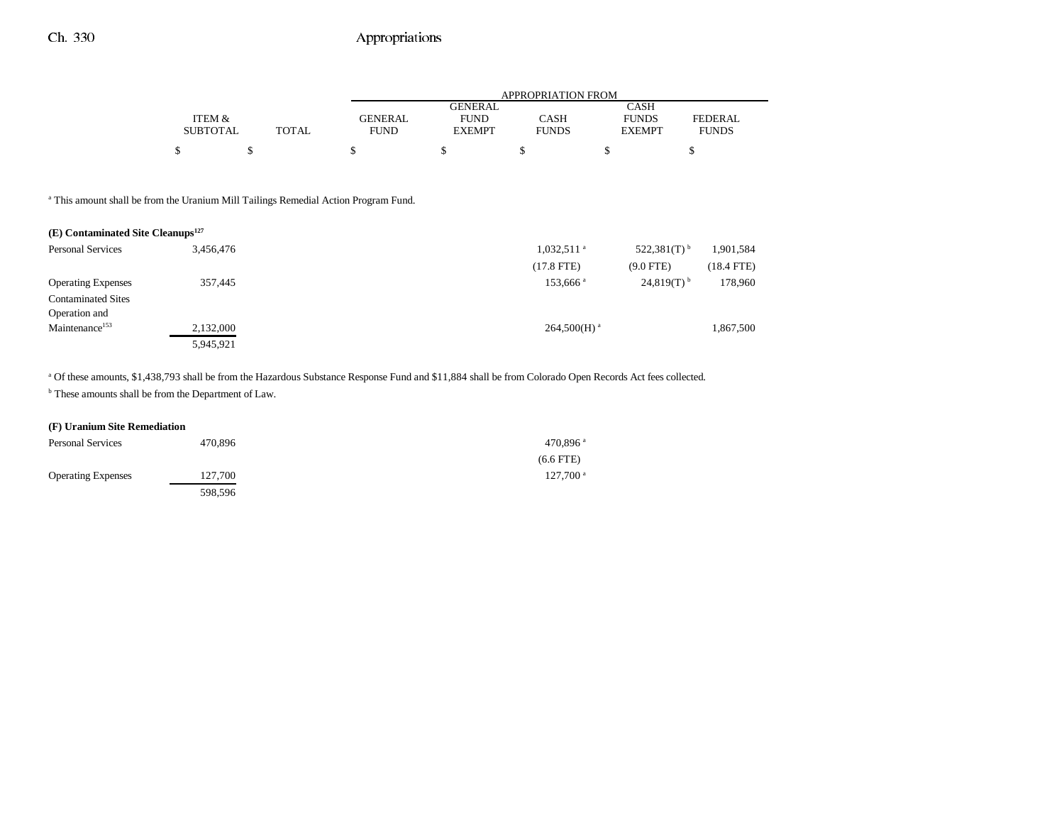|       | APPROPRIATION FROM |                |              |               |              |
|-------|--------------------|----------------|--------------|---------------|--------------|
|       |                    | <b>GENERAL</b> |              | CASH          |              |
|       | <b>GENERAL</b>     | <b>FUND</b>    | CASH         | <b>FUNDS</b>  | FEDERAL      |
| TOTAL | <b>FUND</b>        | <b>EXEMPT</b>  | <b>FUNDS</b> | <b>EXEMPT</b> | <b>FUNDS</b> |
|       |                    |                |              |               |              |
|       |                    |                |              |               |              |

<sup>a</sup> This amount shall be from the Uranium Mill Tailings Remedial Action Program Fund.

| $(E)$ Contaminated Site Cleanups <sup>127</sup> |           |                                                        |              |
|-------------------------------------------------|-----------|--------------------------------------------------------|--------------|
| <b>Personal Services</b>                        | 3,456,476 | 522,381 $(T)$ <sup>b</sup><br>$1,032,511$ <sup>a</sup> | 1,901,584    |
|                                                 |           | $(17.8$ FTE)<br>$(9.0$ FTE)                            | $(18.4$ FTE) |
| <b>Operating Expenses</b>                       | 357,445   | $24,819(T)$ <sup>b</sup><br>153,666 <sup>a</sup>       | 178,960      |
| <b>Contaminated Sites</b>                       |           |                                                        |              |
| Operation and                                   |           |                                                        |              |
| Maintenance <sup>153</sup>                      | 2,132,000 | $264,500(H)$ <sup>a</sup>                              | 1,867,500    |
|                                                 | 5,945,921 |                                                        |              |

a Of these amounts, \$1,438,793 shall be from the Hazardous Substance Response Fund and \$11,884 shall be from Colorado Open Records Act fees collected.

b These amounts shall be from the Department of Law.

### **(F) Uranium Site Remediation**

| <b>Personal Services</b>  | 470,896 | 470.896 $a$            |
|---------------------------|---------|------------------------|
|                           |         | $(6.6$ FTE)            |
| <b>Operating Expenses</b> | 127.700 | $127.700$ <sup>a</sup> |
|                           | 598,596 |                        |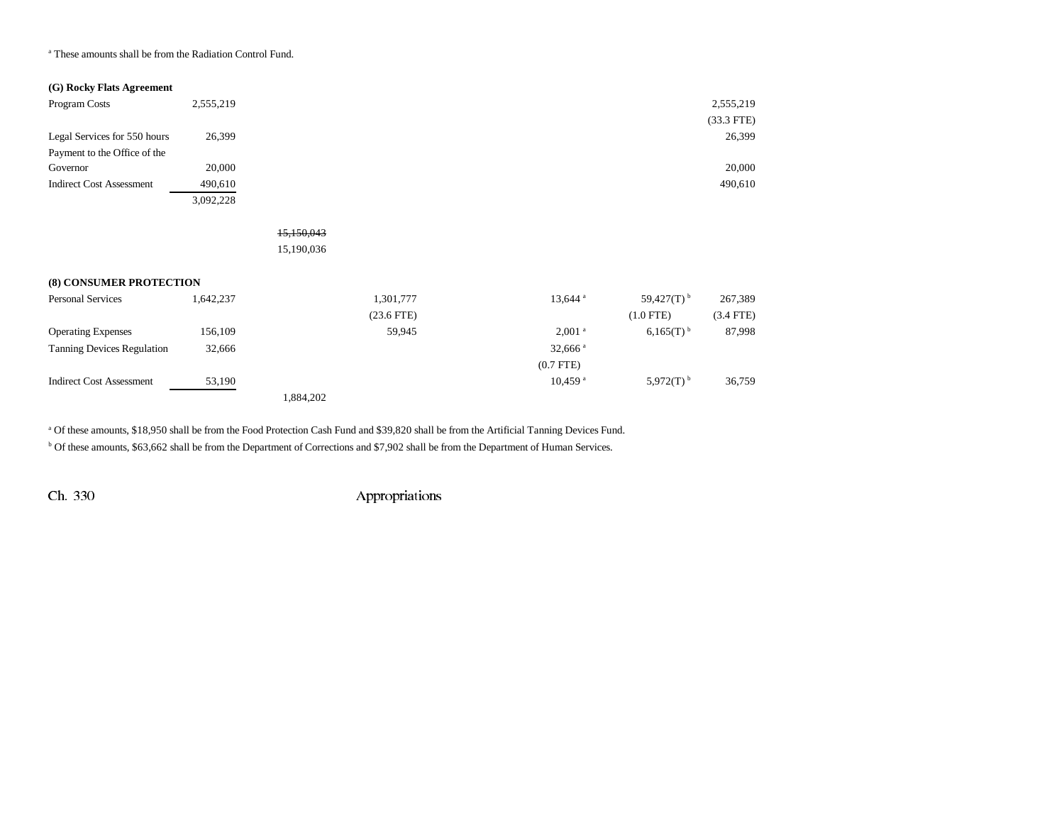a These amounts shall be from the Radiation Control Fund.

### **(G) Rocky Flats Agreement**

| Program Costs                   | 2,555,219 | 2,555,219    |
|---------------------------------|-----------|--------------|
|                                 |           | $(33.3$ FTE) |
| Legal Services for 550 hours    | 26,399    | 26,399       |
| Payment to the Office of the    |           |              |
| Governor                        | 20,000    | 20,000       |
| <b>Indirect Cost Assessment</b> | 490.610   | 490,610      |
|                                 | 3,092,228 |              |

# 15,150,043

15,190,036

### **(8) CONSUMER PROTECTION**

| <b>Personal Services</b>          | 1,642,237 |           | 1,301,777       | 13,644 <sup>a</sup>   | 59,427 $(T)$ <sup>b</sup> | 267,389     |
|-----------------------------------|-----------|-----------|-----------------|-----------------------|---------------------------|-------------|
|                                   |           |           | $(23.6$ FTE $)$ |                       | $(1.0$ FTE)               | $(3.4$ FTE) |
| <b>Operating Expenses</b>         | 156,109   |           | 59,945          | 2,001 <sup>a</sup>    | $6,165(T)$ <sup>b</sup>   | 87,998      |
| <b>Tanning Devices Regulation</b> | 32,666    |           |                 | $32,666$ <sup>a</sup> |                           |             |
|                                   |           |           |                 | $(0.7$ FTE $)$        |                           |             |
| <b>Indirect Cost Assessment</b>   | 53,190    |           |                 | $10.459$ <sup>a</sup> | $5,972(T)$ <sup>b</sup>   | 36,759      |
|                                   |           | 1.884.202 |                 |                       |                           |             |

a Of these amounts, \$18,950 shall be from the Food Protection Cash Fund and \$39,820 shall be from the Artificial Tanning Devices Fund.

b Of these amounts, \$63,662 shall be from the Department of Corrections and \$7,902 shall be from the Department of Human Services.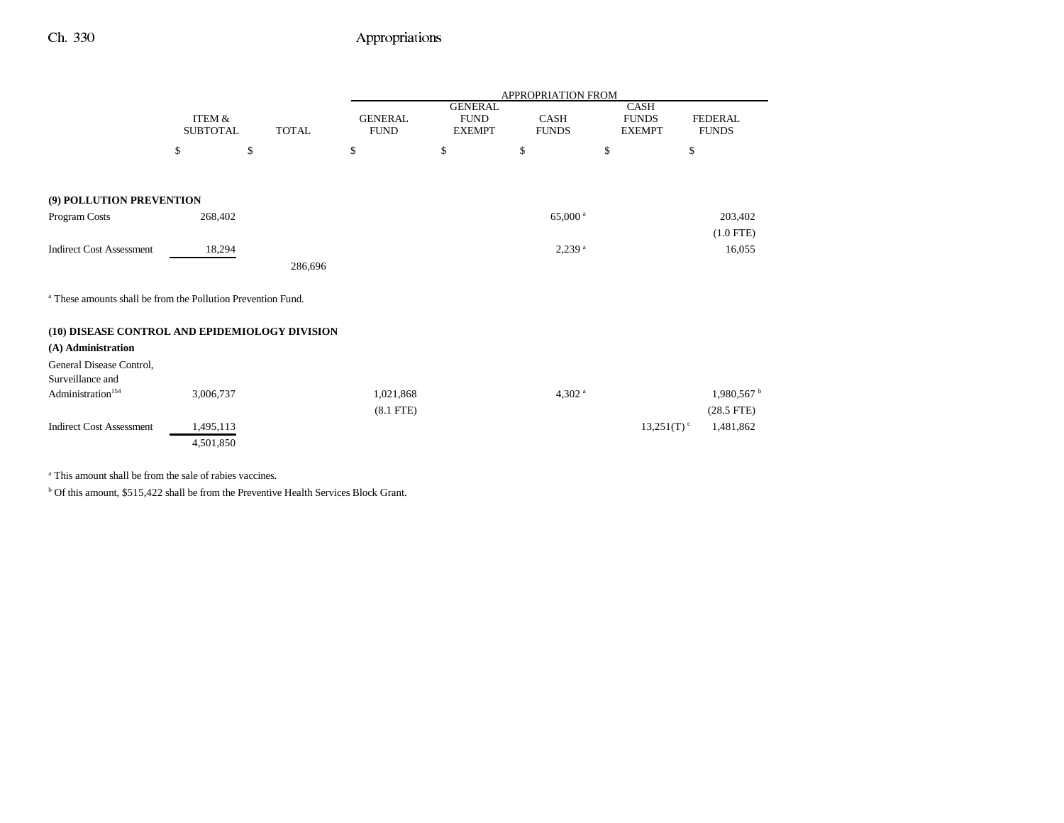|                                                                         |                           |              |                               |                                                | <b>APPROPRIATION FROM</b>   |                                              |                                |
|-------------------------------------------------------------------------|---------------------------|--------------|-------------------------------|------------------------------------------------|-----------------------------|----------------------------------------------|--------------------------------|
|                                                                         | ITEM &<br><b>SUBTOTAL</b> | <b>TOTAL</b> | <b>GENERAL</b><br><b>FUND</b> | <b>GENERAL</b><br><b>FUND</b><br><b>EXEMPT</b> | <b>CASH</b><br><b>FUNDS</b> | <b>CASH</b><br><b>FUNDS</b><br><b>EXEMPT</b> | <b>FEDERAL</b><br><b>FUNDS</b> |
|                                                                         | \$                        | \$           | \$                            | \$                                             | \$                          | \$                                           | \$                             |
|                                                                         |                           |              |                               |                                                |                             |                                              |                                |
| (9) POLLUTION PREVENTION                                                |                           |              |                               |                                                |                             |                                              |                                |
| Program Costs                                                           | 268,402                   |              |                               |                                                | 65,000 $^{\rm a}$           |                                              | 203,402                        |
|                                                                         |                           |              |                               |                                                |                             |                                              | $(1.0$ FTE)                    |
| <b>Indirect Cost Assessment</b>                                         | 18,294                    |              |                               |                                                | $2,239$ <sup>a</sup>        |                                              | 16,055                         |
|                                                                         |                           | 286,696      |                               |                                                |                             |                                              |                                |
| <sup>a</sup> These amounts shall be from the Pollution Prevention Fund. |                           |              |                               |                                                |                             |                                              |                                |
| (10) DISEASE CONTROL AND EPIDEMIOLOGY DIVISION                          |                           |              |                               |                                                |                             |                                              |                                |
| (A) Administration                                                      |                           |              |                               |                                                |                             |                                              |                                |
| General Disease Control,                                                |                           |              |                               |                                                |                             |                                              |                                |
| Surveillance and                                                        |                           |              |                               |                                                |                             |                                              |                                |
| Administration <sup>154</sup>                                           | 3,006,737                 |              | 1,021,868                     |                                                | 4,302 $a$                   |                                              | 1,980,567                      |
| <b>Indirect Cost Assessment</b>                                         | 1,495,113                 |              | $(8.1$ FTE)                   |                                                |                             | $13,251(T)$ <sup>c</sup>                     | $(28.5$ FTE)<br>1,481,862      |
|                                                                         | 4,501,850                 |              |                               |                                                |                             |                                              |                                |
|                                                                         |                           |              |                               |                                                |                             |                                              |                                |

a This amount shall be from the sale of rabies vaccines.

b Of this amount, \$515,422 shall be from the Preventive Health Services Block Grant.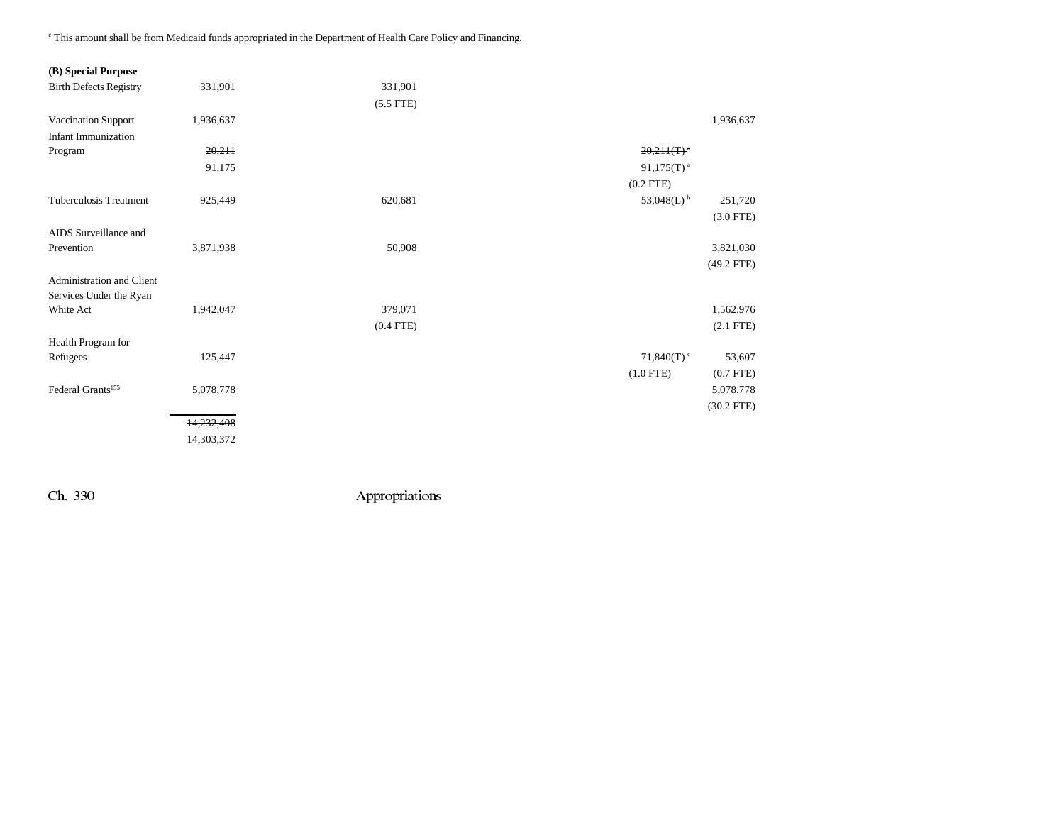c This amount shall be from Medicaid funds appropriated in the Department of Health Care Policy and Financing.

## **(B) Special Purpose**

| <b>Birth Defects Registry</b> | 331,901    | 331,901     |                           |              |
|-------------------------------|------------|-------------|---------------------------|--------------|
|                               |            | $(5.5$ FTE) |                           |              |
| Vaccination Support           | 1,936,637  |             |                           | 1,936,637    |
| <b>Infant Immunization</b>    |            |             |                           |              |
| Program                       | 20,211     |             | $20,211(T)^{a}$           |              |
|                               | 91,175     |             | $91,175(T)$ <sup>a</sup>  |              |
|                               |            |             | $(0.2$ FTE)               |              |
| Tuberculosis Treatment        | 925,449    | 620,681     | 53,048(L) $^{\rm b}$      | 251,720      |
|                               |            |             |                           | $(3.0$ FTE)  |
| AIDS Surveillance and         |            |             |                           |              |
| Prevention                    | 3,871,938  | 50,908      |                           | 3,821,030    |
|                               |            |             |                           | $(49.2$ FTE) |
| Administration and Client     |            |             |                           |              |
| Services Under the Ryan       |            |             |                           |              |
| White Act                     | 1,942,047  | 379,071     |                           | 1,562,976    |
|                               |            | $(0.4$ FTE) |                           | $(2.1$ FTE)  |
| Health Program for            |            |             |                           |              |
| Refugees                      | 125,447    |             | 71,840 $(T)$ <sup>c</sup> | 53,607       |
|                               |            |             | $(1.0$ FTE)               | $(0.7$ FTE)  |
| Federal Grants <sup>155</sup> | 5,078,778  |             |                           | 5,078,778    |
|                               |            |             |                           | $(30.2$ FTE) |
|                               | 14,232,408 |             |                           |              |
|                               | 14,303,372 |             |                           |              |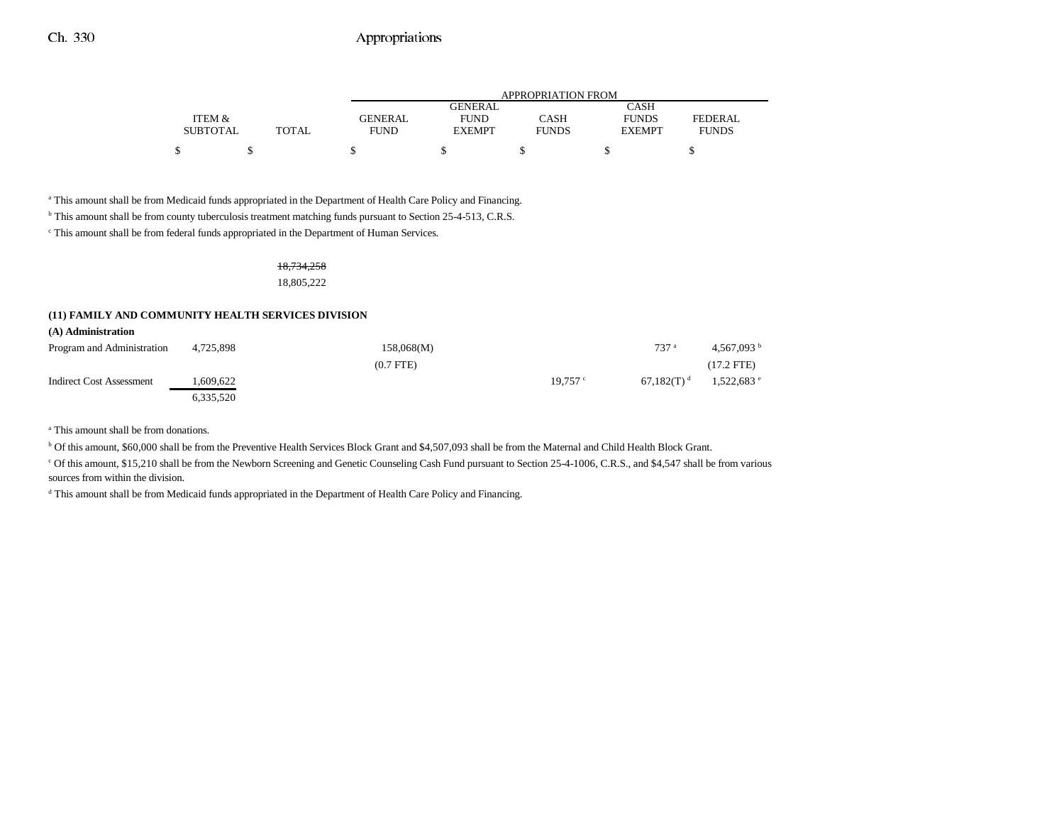|                 |       | APPROPRIATION FROM |               |              |               |                |  |
|-----------------|-------|--------------------|---------------|--------------|---------------|----------------|--|
|                 |       |                    | GENERAL       |              | CASH          |                |  |
| ITEM &          |       | GENERAL            | FUND          | CASH         | <b>FUNDS</b>  | <b>FEDERAL</b> |  |
| <b>SUBTOTAL</b> | TOTAL | <b>FUND</b>        | <b>EXEMPT</b> | <b>FUNDS</b> | <b>EXEMPT</b> | <b>FUNDS</b>   |  |
|                 |       |                    |               |              |               |                |  |

a This amount shall be from Medicaid funds appropriated in the Department of Health Care Policy and Financing.

<sup>b</sup> This amount shall be from county tuberculosis treatment matching funds pursuant to Section 25-4-513, C.R.S.

c This amount shall be from federal funds appropriated in the Department of Human Services.

### 18,734,258

18,805,222

#### **(11) FAMILY AND COMMUNITY HEALTH SERVICES DIVISION**

|  | (A) Administration |  |
|--|--------------------|--|
|--|--------------------|--|

| Program and Administration | 4.725.898 | 158,068(M)  |            | 737 <sup>a</sup>         | 4.567.093 $^{\rm b}$   |
|----------------------------|-----------|-------------|------------|--------------------------|------------------------|
|                            |           | $(0.7$ FTE) |            |                          | $(17.2$ FTE)           |
| Indirect Cost Assessment   | .609.622  |             | $19.757$ ° | $67.182(T)$ <sup>d</sup> | $1,522,683$ $^{\circ}$ |
|                            | 6.335.520 |             |            |                          |                        |

a This amount shall be from donations.

b Of this amount, \$60,000 shall be from the Preventive Health Services Block Grant and \$4,507,093 shall be from the Maternal and Child Health Block Grant.

<sup>c</sup> Of this amount, \$15,210 shall be from the Newborn Screening and Genetic Counseling Cash Fund pursuant to Section 25-4-1006, C.R.S., and \$4,547 shall be from various sources from within the division.

<sup>d</sup> This amount shall be from Medicaid funds appropriated in the Department of Health Care Policy and Financing.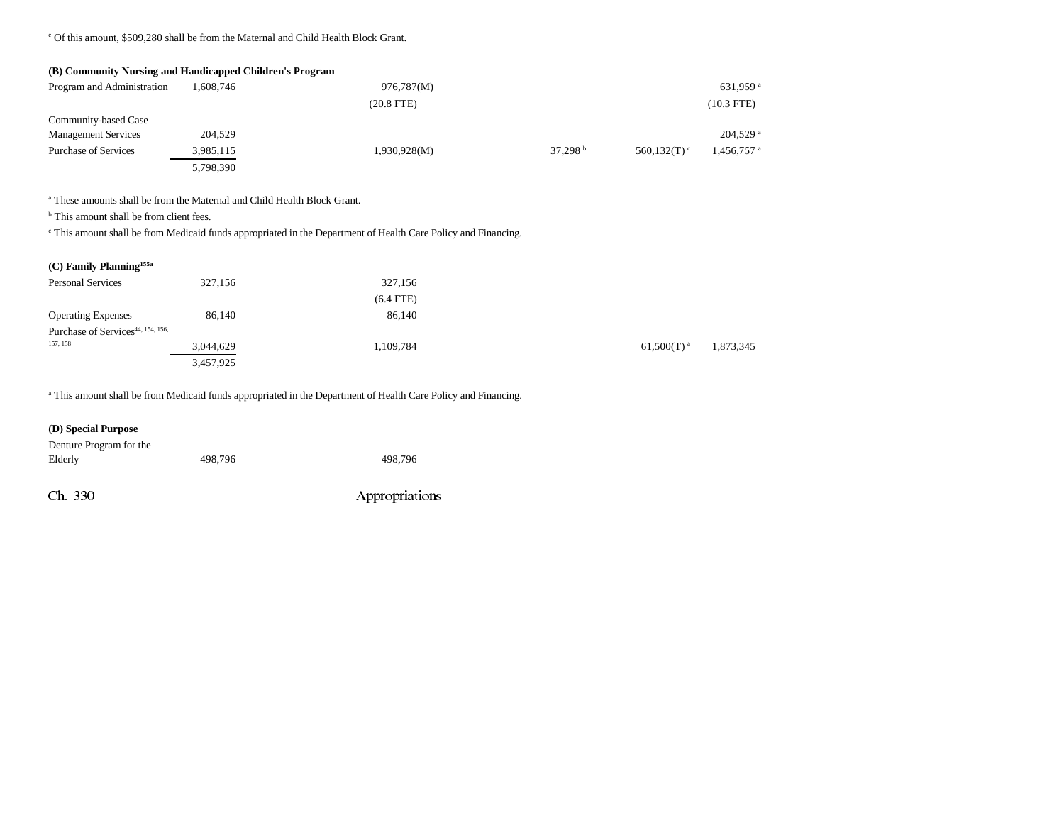e Of this amount, \$509,280 shall be from the Maternal and Child Health Block Grant.

| (B) Community Nursing and Handicapped Children's Program |           |                 |                   |                            |                        |
|----------------------------------------------------------|-----------|-----------------|-------------------|----------------------------|------------------------|
| Program and Administration                               | 1,608,746 | 976,787(M)      |                   |                            | 631,959 <sup>a</sup>   |
|                                                          |           | $(20.8$ FTE $)$ |                   |                            | $(10.3$ FTE)           |
| Community-based Case                                     |           |                 |                   |                            |                        |
| <b>Management Services</b>                               | 204,529   |                 |                   |                            | $204,529$ <sup>a</sup> |
| <b>Purchase of Services</b>                              | 3,985,115 | 1,930,928(M)    | 37.298 $^{\rm b}$ | 560.132 $(T)$ <sup>c</sup> | 1,456,757 a            |
|                                                          | 5,798,390 |                 |                   |                            |                        |

a These amounts shall be from the Maternal and Child Health Block Grant.

<sup>b</sup> This amount shall be from client fees.

c This amount shall be from Medicaid funds appropriated in the Department of Health Care Policy and Financing.

|  |  | $(C)$ Family Planning <sup>155a</sup> |  |
|--|--|---------------------------------------|--|
|--|--|---------------------------------------|--|

| <b>Personal Services</b>                      | 327,156   | 327,156     |                 |           |
|-----------------------------------------------|-----------|-------------|-----------------|-----------|
|                                               |           | $(6.4$ FTE) |                 |           |
| <b>Operating Expenses</b>                     | 86,140    | 86,140      |                 |           |
| Purchase of Services <sup>44, 154, 156,</sup> |           |             |                 |           |
| 157, 158                                      | 3,044,629 | 1,109,784   | $61,500(T)^{a}$ | 1,873,345 |
|                                               | 3,457,925 |             |                 |           |

a This amount shall be from Medicaid funds appropriated in the Department of Health Care Policy and Financing.

| (D) Special Purpose     |         |         |
|-------------------------|---------|---------|
| Denture Program for the |         |         |
| Elderly                 | 498.796 | 498.796 |
|                         |         |         |
|                         |         |         |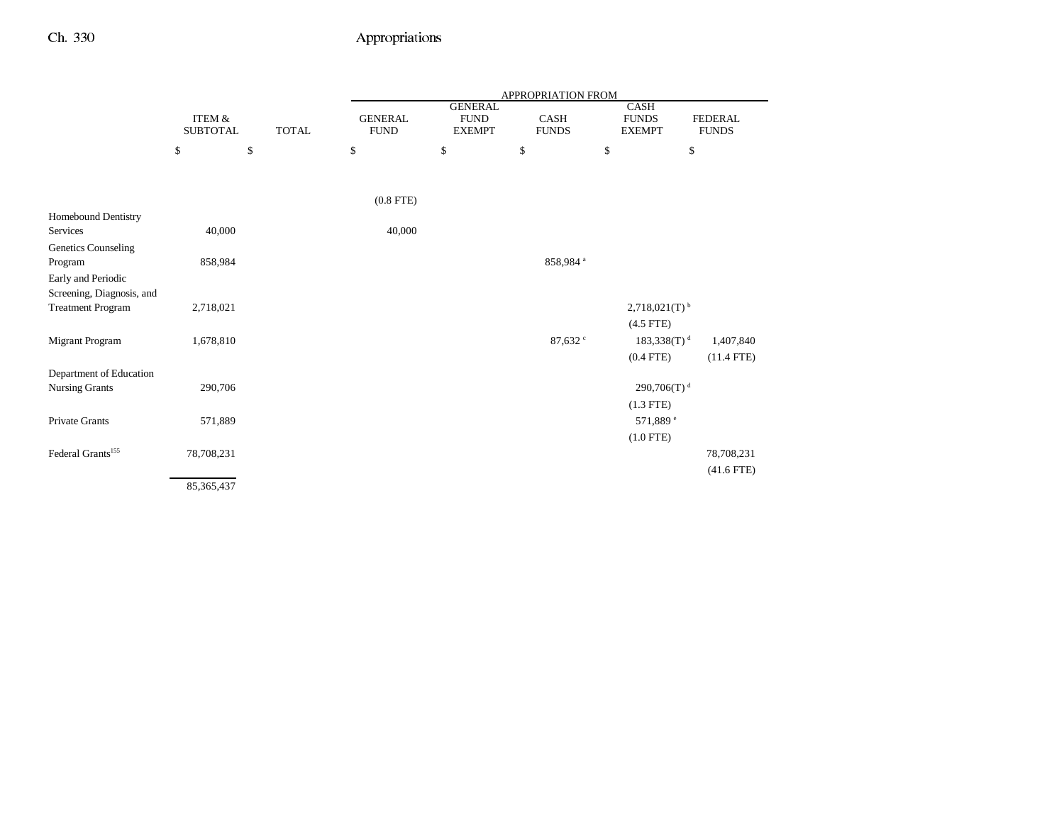|                               |                                      |              |                               |                                                | <b>APPROPRIATION FROM</b>   |                                              |                                |
|-------------------------------|--------------------------------------|--------------|-------------------------------|------------------------------------------------|-----------------------------|----------------------------------------------|--------------------------------|
|                               | <b>ITEM &amp;</b><br><b>SUBTOTAL</b> | <b>TOTAL</b> | <b>GENERAL</b><br><b>FUND</b> | <b>GENERAL</b><br><b>FUND</b><br><b>EXEMPT</b> | <b>CASH</b><br><b>FUNDS</b> | <b>CASH</b><br><b>FUNDS</b><br><b>EXEMPT</b> | <b>FEDERAL</b><br><b>FUNDS</b> |
|                               | \$                                   | \$           | $\$$                          | \$                                             | \$                          | \$                                           | $\mathbb{S}$                   |
|                               |                                      |              |                               |                                                |                             |                                              |                                |
|                               |                                      |              | $(0.8$ FTE)                   |                                                |                             |                                              |                                |
| Homebound Dentistry           |                                      |              |                               |                                                |                             |                                              |                                |
| <b>Services</b>               | 40,000                               |              | 40,000                        |                                                |                             |                                              |                                |
| Genetics Counseling           |                                      |              |                               |                                                |                             |                                              |                                |
| Program                       | 858,984                              |              |                               |                                                | 858,984 a                   |                                              |                                |
| Early and Periodic            |                                      |              |                               |                                                |                             |                                              |                                |
| Screening, Diagnosis, and     |                                      |              |                               |                                                |                             |                                              |                                |
| <b>Treatment Program</b>      | 2,718,021                            |              |                               |                                                |                             | $2,718,021(T)$ <sup>b</sup>                  |                                |
|                               |                                      |              |                               |                                                |                             | $(4.5$ FTE)                                  |                                |
| <b>Migrant Program</b>        | 1,678,810                            |              |                               |                                                | 87,632 $\degree$            | $183,338(T)$ <sup>d</sup>                    | 1,407,840                      |
|                               |                                      |              |                               |                                                |                             | $(0.4$ FTE)                                  | $(11.4$ FTE)                   |
| Department of Education       |                                      |              |                               |                                                |                             |                                              |                                |
| <b>Nursing Grants</b>         | 290,706                              |              |                               |                                                |                             | 290,706(T) <sup>d</sup>                      |                                |
|                               |                                      |              |                               |                                                |                             | $(1.3$ FTE)                                  |                                |
| Private Grants                | 571,889                              |              |                               |                                                |                             | 571,889 <sup>e</sup>                         |                                |
|                               |                                      |              |                               |                                                |                             | $(1.0$ FTE)                                  |                                |
| Federal Grants <sup>155</sup> | 78,708,231                           |              |                               |                                                |                             |                                              | 78,708,231                     |
|                               |                                      |              |                               |                                                |                             |                                              | $(41.6$ FTE)                   |
|                               | 85,365,437                           |              |                               |                                                |                             |                                              |                                |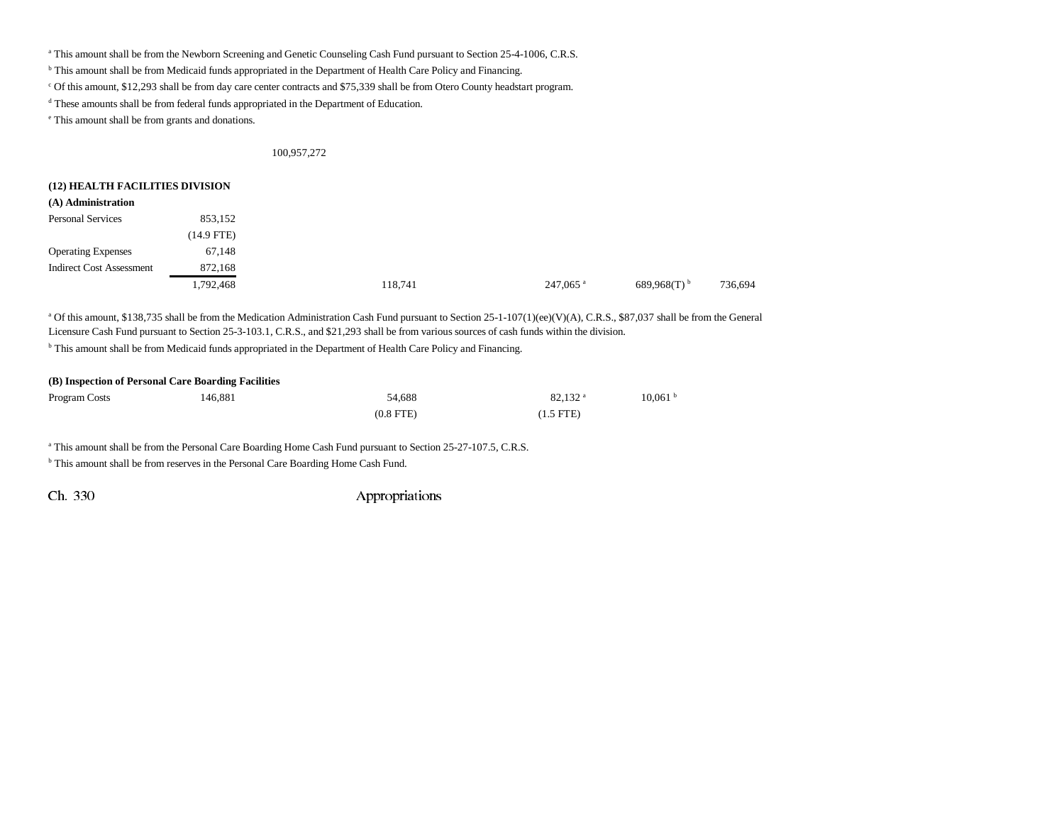<sup>a</sup> This amount shall be from the Newborn Screening and Genetic Counseling Cash Fund pursuant to Section 25-4-1006, C.R.S.

b This amount shall be from Medicaid funds appropriated in the Department of Health Care Policy and Financing.

c Of this amount, \$12,293 shall be from day care center contracts and \$75,339 shall be from Otero County headstart program.

d These amounts shall be from federal funds appropriated in the Department of Education.

e This amount shall be from grants and donations.

#### 100,957,272

#### **(12) HEALTH FACILITIES DIVISION**

| (A) Administration              |            |         |                      |                           |         |
|---------------------------------|------------|---------|----------------------|---------------------------|---------|
| <b>Personal Services</b>        | 853,152    |         |                      |                           |         |
|                                 | (14.9 FTE) |         |                      |                           |         |
| <b>Operating Expenses</b>       | 67,148     |         |                      |                           |         |
| <b>Indirect Cost Assessment</b> | 872,168    |         |                      |                           |         |
|                                 | 1,792,468  | 118,741 | 247,065 <sup>a</sup> | $689,968(T)$ <sup>b</sup> | 736,694 |

<sup>a</sup> Of this amount, \$138,735 shall be from the Medication Administration Cash Fund pursuant to Section 25-1-107(1)(ee)(V)(A), C.R.S., \$87,037 shall be from the General Licensure Cash Fund pursuant to Section 25-3-103.1, C.R.S., and \$21,293 shall be from various sources of cash funds within the division.

b This amount shall be from Medicaid funds appropriated in the Department of Health Care Policy and Financing.

| (B) Inspection of Personal Care Boarding Facilities |         |             |                       |                     |  |
|-----------------------------------------------------|---------|-------------|-----------------------|---------------------|--|
| <b>Program Costs</b>                                | 146.881 | 54.688      | $82.132$ <sup>a</sup> | 10.061 <sup>b</sup> |  |
|                                                     |         | $(0.8$ FTE) | $(1.5$ FTE $)$        |                     |  |

a This amount shall be from the Personal Care Boarding Home Cash Fund pursuant to Section 25-27-107.5, C.R.S.

<sup>b</sup> This amount shall be from reserves in the Personal Care Boarding Home Cash Fund.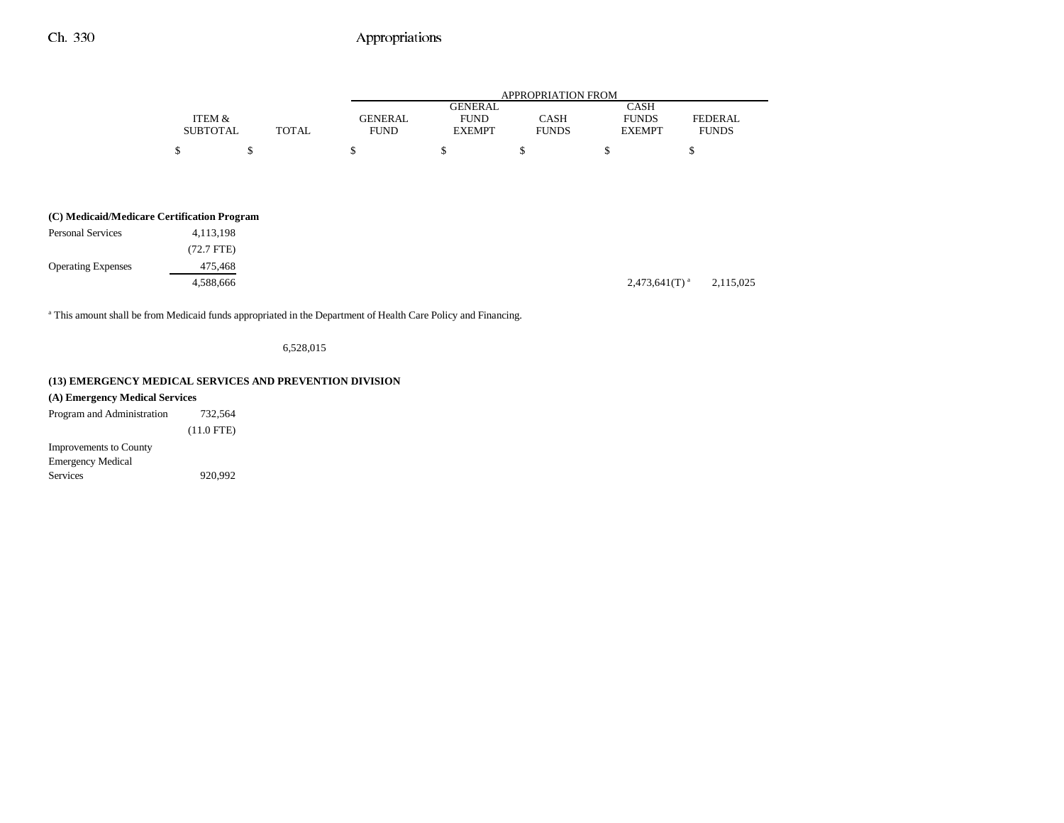|                 |       |                |               | APPROPRIATION FROM |               |                |
|-----------------|-------|----------------|---------------|--------------------|---------------|----------------|
|                 |       |                | GENERAL       |                    | CASH          |                |
| ITEM &          |       | <b>GENERAL</b> | <b>FUND</b>   | CASH               | <b>FUNDS</b>  | <b>FEDERAL</b> |
| <b>SUBTOTAL</b> | TOTAL | <b>FUND</b>    | <b>EXEMPT</b> | <b>FUNDS</b>       | <b>EXEMPT</b> | <b>FUNDS</b>   |
|                 |       |                |               |                    |               |                |
|                 |       |                |               |                    |               |                |

| (C) Medicaid/Medicare Certification Program |
|---------------------------------------------|
|                                             |

| <b>Personal Services</b>  | 4, 113, 198 |                             |           |
|---------------------------|-------------|-----------------------------|-----------|
|                           | (72.7 FTE)  |                             |           |
| <b>Operating Expenses</b> | 475,468     |                             |           |
|                           | 4,588,666   | $2,473,641(T)$ <sup>a</sup> | 2,115,025 |

<sup>a</sup> This amount shall be from Medicaid funds appropriated in the Department of Health Care Policy and Financing.

6,528,015

## **(13) EMERGENCY MEDICAL SERVICES AND PREVENTION DIVISION**

| (A) Emergency Medical Services |  |  |  |  |  |
|--------------------------------|--|--|--|--|--|
| 732.564                        |  |  |  |  |  |
| $(11.0$ FTE)                   |  |  |  |  |  |
|                                |  |  |  |  |  |
|                                |  |  |  |  |  |
| 920.992                        |  |  |  |  |  |
|                                |  |  |  |  |  |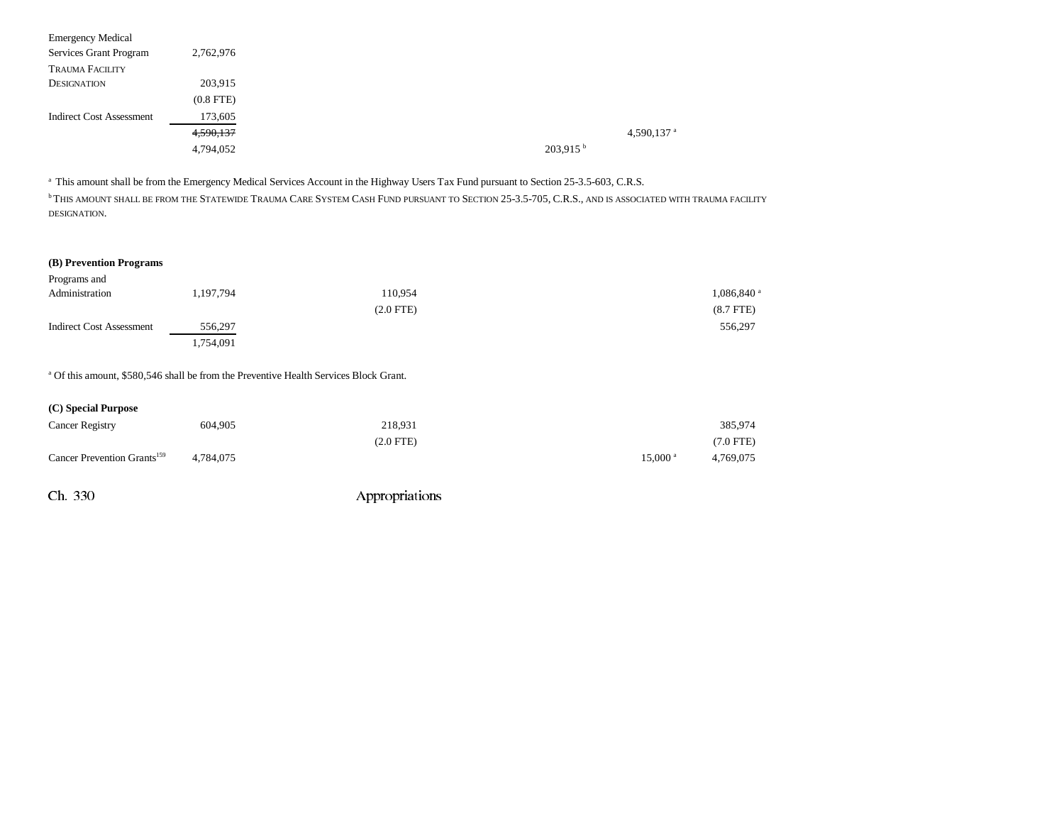| <b>Emergency Medical</b>        |                |
|---------------------------------|----------------|
| Services Grant Program          | 2,762,976      |
| <b>TRAUMA FACILITY</b>          |                |
| <b>DESIGNATION</b>              | 203,915        |
|                                 | $(0.8$ FTE $)$ |
| <b>Indirect Cost Assessment</b> | 173,605        |
|                                 | 4,590,137      |
|                                 | 4,794,052      |
|                                 |                |

<sup>a</sup> This amount shall be from the Emergency Medical Services Account in the Highway Users Tax Fund pursuant to Section 25-3.5-603, C.R.S.

<sup>b</sup> This amount shall be from the Statewide Trauma Care System Cash Fund pursuant to Section 25-3.5-705, C.R.S., and is associated with trauma facility DESIGNATION.

## **(B) Prevention Programs**

| Programs and                    |           |             |                          |
|---------------------------------|-----------|-------------|--------------------------|
| Administration                  | 1,197,794 | 110,954     | $1,086,840$ <sup>a</sup> |
|                                 |           | $(2.0$ FTE) | $(8.7$ FTE)              |
| <b>Indirect Cost Assessment</b> | 556,297   |             | 556,297                  |
|                                 | 1,754,091 |             |                          |

<sup>a</sup> Of this amount, \$580,546 shall be from the Preventive Health Services Block Grant.

| (C) Special Purpose                     |           |             |                      |           |
|-----------------------------------------|-----------|-------------|----------------------|-----------|
| <b>Cancer Registry</b>                  | 604.905   | 218.931     |                      | 385,974   |
|                                         |           | $(2.0$ FTE) |                      | (7.0 FTE) |
| Cancer Prevention Grants <sup>159</sup> | 4.784.075 |             | $15,000^{\text{ a}}$ | 4,769,075 |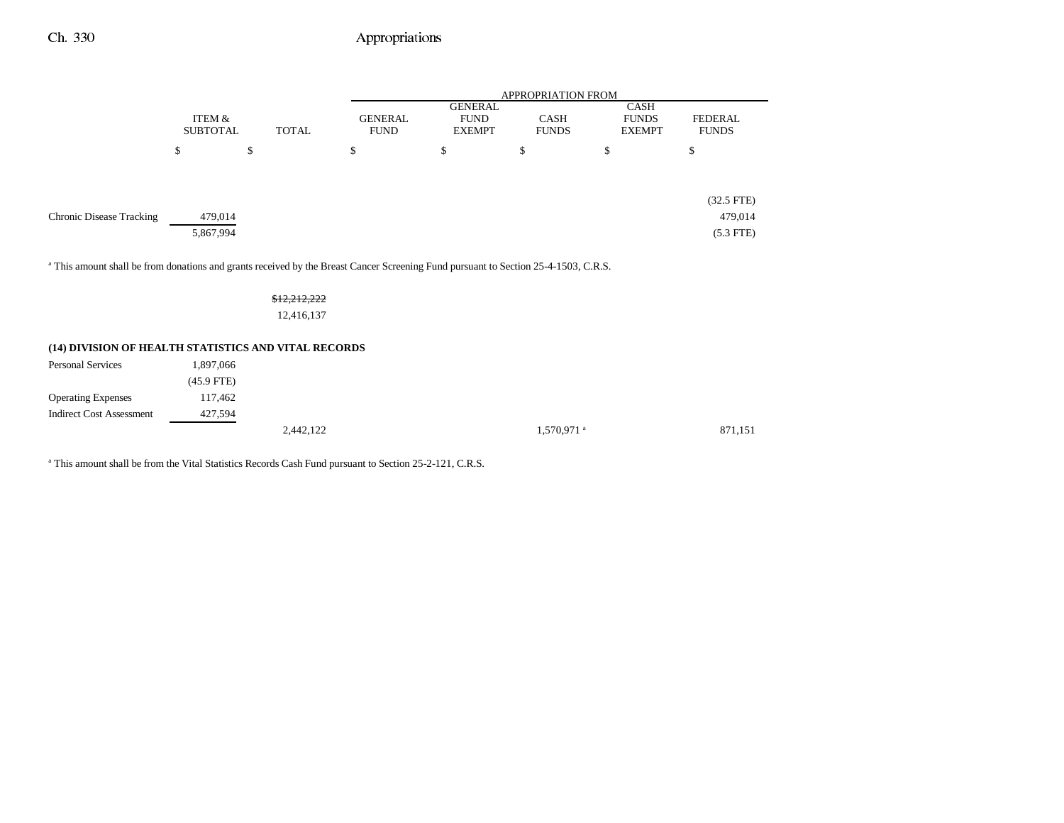|                                                                                                                                                |                 |              | <b>APPROPRIATION FROM</b> |                |              |               |                |
|------------------------------------------------------------------------------------------------------------------------------------------------|-----------------|--------------|---------------------------|----------------|--------------|---------------|----------------|
|                                                                                                                                                |                 |              |                           | <b>GENERAL</b> |              | <b>CASH</b>   |                |
|                                                                                                                                                | ITEM &          |              | <b>GENERAL</b>            | <b>FUND</b>    | <b>CASH</b>  | <b>FUNDS</b>  | <b>FEDERAL</b> |
|                                                                                                                                                | <b>SUBTOTAL</b> | <b>TOTAL</b> | <b>FUND</b>               | <b>EXEMPT</b>  | <b>FUNDS</b> | <b>EXEMPT</b> | <b>FUNDS</b>   |
|                                                                                                                                                | \$              | \$           | \$                        | \$             | \$           | \$            | \$             |
|                                                                                                                                                |                 |              |                           |                |              |               |                |
|                                                                                                                                                |                 |              |                           |                |              |               | $(32.5$ FTE)   |
| Chronic Disease Tracking                                                                                                                       | 479,014         |              |                           |                |              |               | 479,014        |
|                                                                                                                                                | 5,867,994       |              |                           |                |              |               | $(5.3$ FTE)    |
| <sup>a</sup> This amount shall be from donations and grants received by the Breast Cancer Screening Fund pursuant to Section 25-4-1503, C.R.S. |                 |              |                           |                |              |               |                |

### \$12,212,222

12,416,137

## **(14) DIVISION OF HEALTH STATISTICS AND VITAL RECORDS**

| <b>Personal Services</b>        | 1,897,066    |           |                        |         |
|---------------------------------|--------------|-----------|------------------------|---------|
|                                 | $(45.9$ FTE) |           |                        |         |
| <b>Operating Expenses</b>       | 117,462      |           |                        |         |
| <b>Indirect Cost Assessment</b> | 427,594      |           |                        |         |
|                                 |              | 2,442,122 | 1,570,971 <sup>a</sup> | 871,151 |

<sup>a</sup> This amount shall be from the Vital Statistics Records Cash Fund pursuant to Section 25-2-121, C.R.S.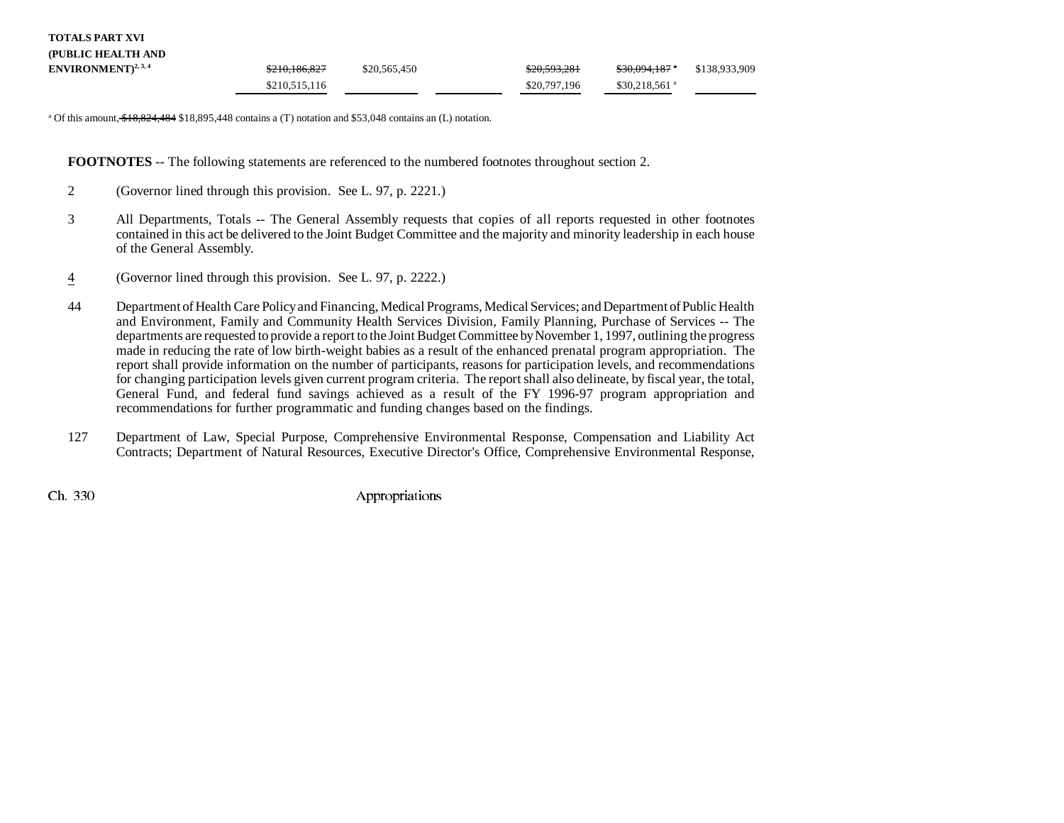| TOTALS PART XVI                 |               |              |              |                            |               |  |
|---------------------------------|---------------|--------------|--------------|----------------------------|---------------|--|
| (PUBLIC HEALTH AND              |               |              |              |                            |               |  |
| ENVIRONMENT) <sup>2, 3, 4</sup> | \$210,186,827 | \$20,565,450 | \$20,593,281 | <del>\$30.094.187</del> *  | \$138,933,909 |  |
|                                 | \$210,515,116 |              | \$20,797,196 | $$30.218.561$ <sup>a</sup> |               |  |

<sup>a</sup> Of this amount,  $$18,824,484$  \$18,895,448 contains a (T) notation and \$53,048 contains an (L) notation.

**FOOTNOTES** -- The following statements are referenced to the numbered footnotes throughout section 2.

- 2 (Governor lined through this provision. See L. 97, p. 2221.)
- 3 All Departments, Totals -- The General Assembly requests that copies of all reports requested in other footnotes contained in this act be delivered to the Joint Budget Committee and the majority and minority leadership in each house of the General Assembly.
- 4(Governor lined through this provision. See L. 97, p. 2222.)
- 44 Department of Health Care Policy and Financing, Medical Programs, Medical Services; and Department of Public Health and Environment, Family and Community Health Services Division, Family Planning, Purchase of Services -- The departments are requested to provide a report to the Joint Budget Committee by November 1, 1997, outlining the progress made in reducing the rate of low birth-weight babies as a result of the enhanced prenatal program appropriation. The report shall provide information on the number of participants, reasons for participation levels, and recommendations for changing participation levels given current program criteria. The report shall also delineate, by fiscal year, the total, General Fund, and federal fund savings achieved as a result of the FY 1996-97 program appropriation and recommendations for further programmatic and funding changes based on the findings.
- 127 Department of Law, Special Purpose, Comprehensive Environmental Response, Compensation and Liability Act Contracts; Department of Natural Resources, Executive Director's Office, Comprehensive Environmental Response,

**TOTALS PART XVI**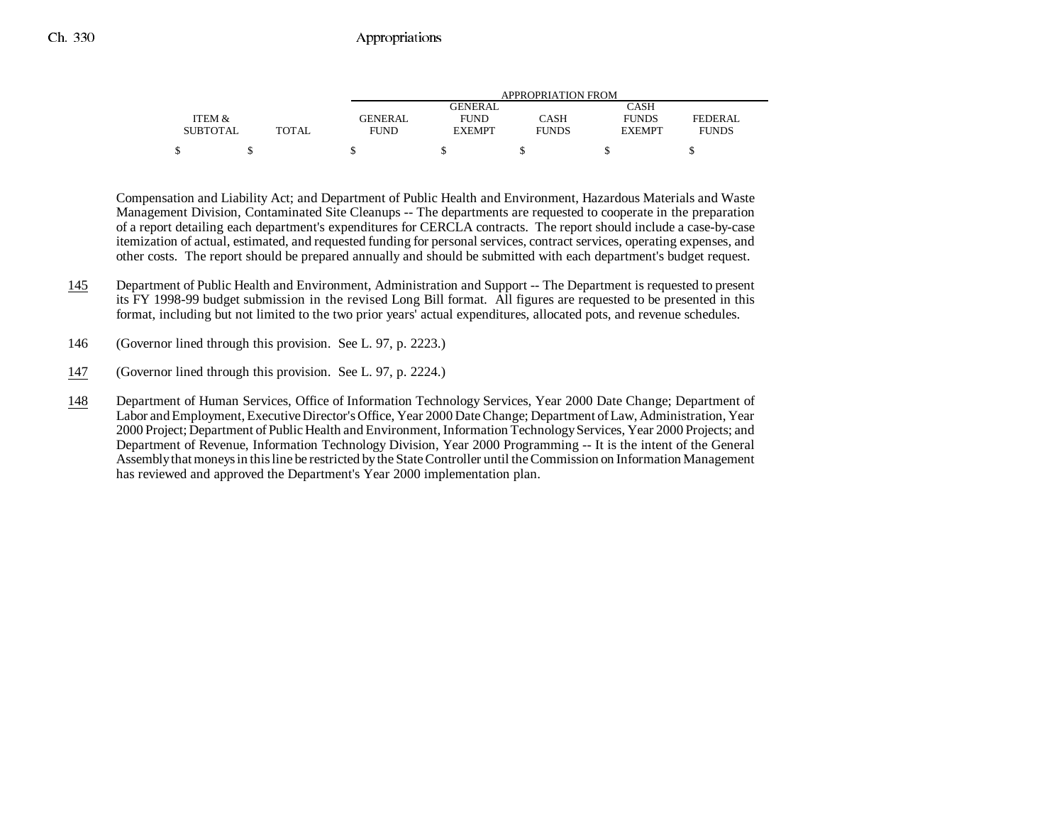|                 |              |                | APPROPRIATION FROM |              |               |              |  |  |
|-----------------|--------------|----------------|--------------------|--------------|---------------|--------------|--|--|
|                 |              |                | <b>GENERAL</b>     |              | CASH          |              |  |  |
| ITEM &          |              | <b>GENERAL</b> | <b>FUND</b>        | CASH         | <b>FUNDS</b>  | FEDERAL      |  |  |
| <b>SUBTOTAL</b> | <b>TOTAL</b> | FUND           | <b>EXEMPT</b>      | <b>FUNDS</b> | <b>EXEMPT</b> | <b>FUNDS</b> |  |  |
|                 |              |                |                    |              |               |              |  |  |

Compensation and Liability Act; and Department of Public Health and Environment, Hazardous Materials and Waste Management Division, Contaminated Site Cleanups -- The departments are requested to cooperate in the preparation of a report detailing each department's expenditures for CERCLA contracts. The report should include a case-by-case itemization of actual, estimated, and requested funding for personal services, contract services, operating expenses, and other costs. The report should be prepared annually and should be submitted with each department's budget request.

- 145 Department of Public Health and Environment, Administration and Support -- The Department is requested to present its FY 1998-99 budget submission in the revised Long Bill format. All figures are requested to be presented in this format, including but not limited to the two prior years' actual expenditures, allocated pots, and revenue schedules.
- 146 (Governor lined through this provision. See L. 97, p. 2223.)
- 147(Governor lined through this provision. See L. 97, p. 2224.)
- 148 Department of Human Services, Office of Information Technology Services, Year 2000 Date Change; Department of Labor and Employment, Executive Director's Office, Year 2000 Date Change; Department of Law, Administration, Year 2000 Project; Department of Public Health and Environment, Information Technology Services, Year 2000 Projects; and Department of Revenue, Information Technology Division, Year 2000 Programming -- It is the intent of the General Assembly that moneys in this line be restricted by the State Controller until the Commission on Information Management has reviewed and approved the Department's Year 2000 implementation plan.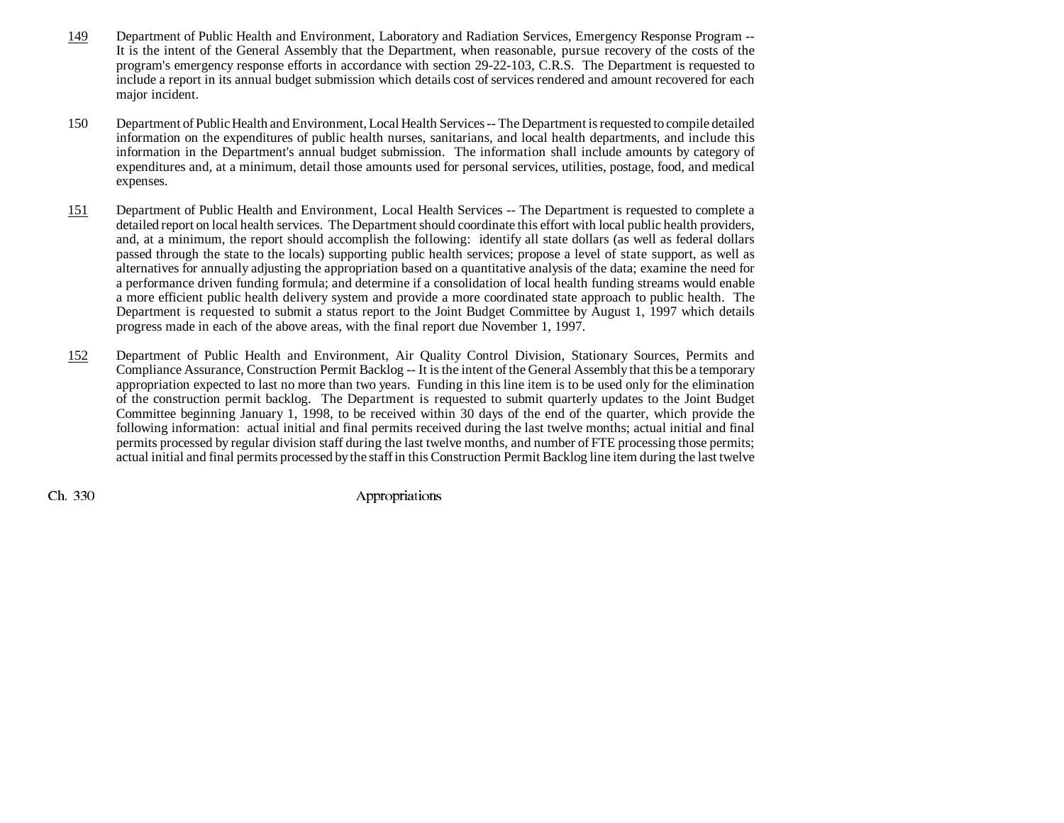- 149 Department of Public Health and Environment, Laboratory and Radiation Services, Emergency Response Program -- It is the intent of the General Assembly that the Department, when reasonable, pursue recovery of the costs of the program's emergency response efforts in accordance with section 29-22-103, C.R.S. The Department is requested to include a report in its annual budget submission which details cost of services rendered and amount recovered for each major incident.
- 150 Department of Public Health and Environment, Local Health Services -- The Department is requested to compile detailed information on the expenditures of public health nurses, sanitarians, and local health departments, and include this information in the Department's annual budget submission. The information shall include amounts by category of expenditures and, at a minimum, detail those amounts used for personal services, utilities, postage, food, and medical expenses.
- 151 Department of Public Health and Environment, Local Health Services -- The Department is requested to complete a detailed report on local health services. The Department should coordinate this effort with local public health providers, and, at a minimum, the report should accomplish the following: identify all state dollars (as well as federal dollars passed through the state to the locals) supporting public health services; propose a level of state support, as well as alternatives for annually adjusting the appropriation based on a quantitative analysis of the data; examine the need for a performance driven funding formula; and determine if a consolidation of local health funding streams would enable a more efficient public health delivery system and provide a more coordinated state approach to public health. The Department is requested to submit a status report to the Joint Budget Committee by August 1, 1997 which details progress made in each of the above areas, with the final report due November 1, 1997.
- 152 Department of Public Health and Environment, Air Quality Control Division, Stationary Sources, Permits and Compliance Assurance, Construction Permit Backlog -- It is the intent of the General Assembly that this be a temporary appropriation expected to last no more than two years. Funding in this line item is to be used only for the elimination of the construction permit backlog. The Department is requested to submit quarterly updates to the Joint Budget Committee beginning January 1, 1998, to be received within 30 days of the end of the quarter, which provide the following information: actual initial and final permits received during the last twelve months; actual initial and final permits processed by regular division staff during the last twelve months, and number of FTE processing those permits; actual initial and final permits processed by the staff in this Construction Permit Backlog line item during the last twelve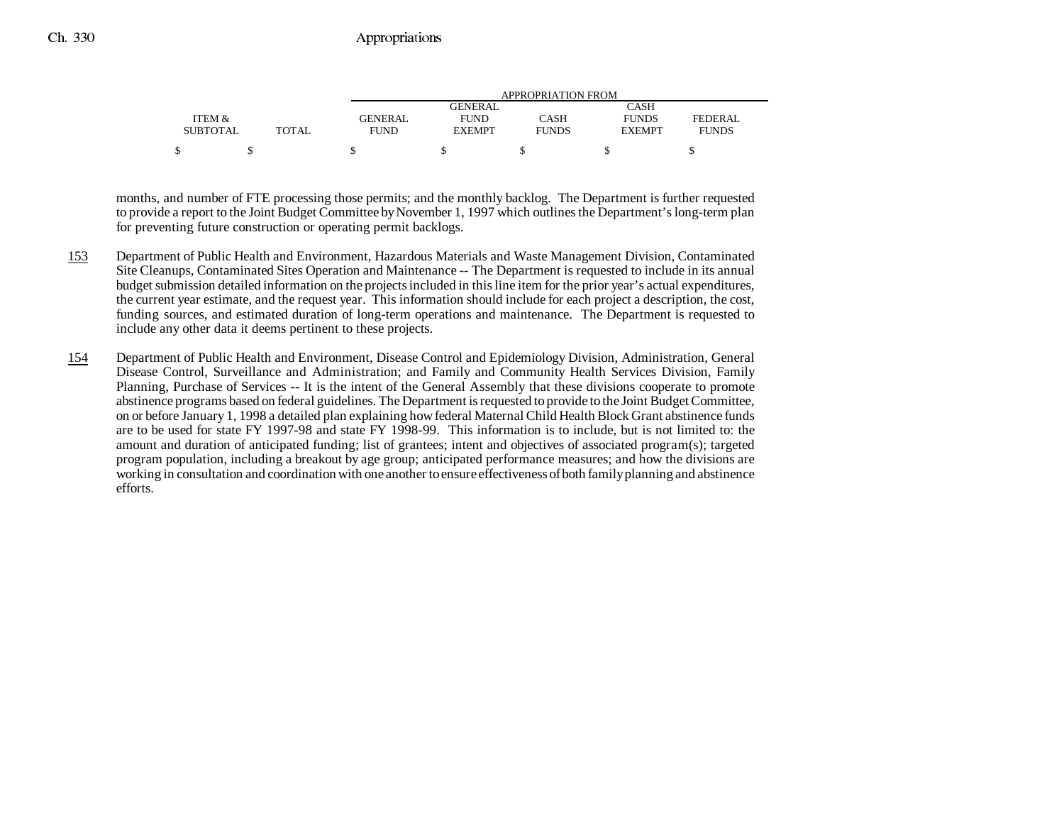|                 |       |                | APPROPRIATION FROM |              |               |              |  |  |
|-----------------|-------|----------------|--------------------|--------------|---------------|--------------|--|--|
|                 |       |                | GENERAL            |              | CASH          |              |  |  |
| ITEM &          |       | <b>GENERAL</b> | <b>FUND</b>        | CASH         | <b>FUNDS</b>  | FEDERAL      |  |  |
| <b>SUBTOTAL</b> | TOTAL | <b>FUND</b>    | <b>EXEMPT</b>      | <b>FUNDS</b> | <b>EXEMPT</b> | <b>FUNDS</b> |  |  |
| \$              |       |                |                    |              |               |              |  |  |

months, and number of FTE processing those permits; and the monthly backlog. The Department is further requested to provide a report to the Joint Budget Committee by November 1, 1997 which outlines the Department's long-term plan for preventing future construction or operating permit backlogs.

- 153 Department of Public Health and Environment, Hazardous Materials and Waste Management Division, Contaminated Site Cleanups, Contaminated Sites Operation and Maintenance -- The Department is requested to include in its annual budget submission detailed information on the projects included in this line item for the prior year's actual expenditures, the current year estimate, and the request year. This information should include for each project a description, the cost, funding sources, and estimated duration of long-term operations and maintenance. The Department is requested to include any other data it deems pertinent to these projects.
- 154 Department of Public Health and Environment, Disease Control and Epidemiology Division, Administration, General Disease Control, Surveillance and Administration; and Family and Community Health Services Division, Family Planning, Purchase of Services -- It is the intent of the General Assembly that these divisions cooperate to promote abstinence programs based on federal guidelines. The Department is requested to provide to the Joint Budget Committee, on or before January 1, 1998 a detailed plan explaining how federal Maternal Child Health Block Grant abstinence funds are to be used for state FY 1997-98 and state FY 1998-99. This information is to include, but is not limited to: the amount and duration of anticipated funding; list of grantees; intent and objectives of associated program(s); targeted program population, including a breakout by age group; anticipated performance measures; and how the divisions are working in consultation and coordination with one another to ensure effectiveness of both family planning and abstinence efforts.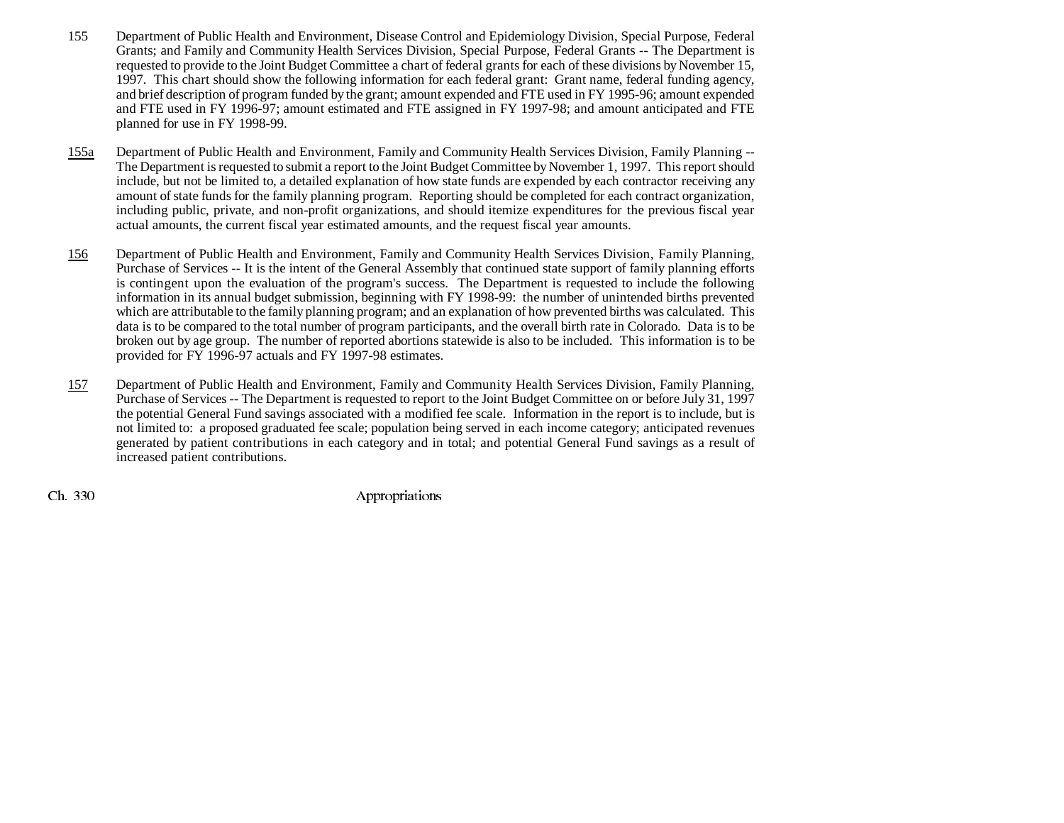- 155 Department of Public Health and Environment, Disease Control and Epidemiology Division, Special Purpose, Federal Grants; and Family and Community Health Services Division, Special Purpose, Federal Grants -- The Department is requested to provide to the Joint Budget Committee a chart of federal grants for each of these divisions by November 15, 1997. This chart should show the following information for each federal grant: Grant name, federal funding agency, and brief description of program funded by the grant; amount expended and FTE used in FY 1995-96; amount expended and FTE used in FY 1996-97; amount estimated and FTE assigned in FY 1997-98; and amount anticipated and FTE planned for use in FY 1998-99.
- 155a Department of Public Health and Environment, Family and Community Health Services Division, Family Planning -- The Department is requested to submit a report to the Joint Budget Committee by November 1, 1997. This report should include, but not be limited to, a detailed explanation of how state funds are expended by each contractor receiving any amount of state funds for the family planning program. Reporting should be completed for each contract organization, including public, private, and non-profit organizations, and should itemize expenditures for the previous fiscal year actual amounts, the current fiscal year estimated amounts, and the request fiscal year amounts.
- 156 Department of Public Health and Environment, Family and Community Health Services Division, Family Planning, Purchase of Services -- It is the intent of the General Assembly that continued state support of family planning efforts is contingent upon the evaluation of the program's success. The Department is requested to include the following information in its annual budget submission, beginning with FY 1998-99: the number of unintended births prevented which are attributable to the family planning program; and an explanation of how prevented births was calculated. This data is to be compared to the total number of program participants, and the overall birth rate in Colorado. Data is to be broken out by age group. The number of reported abortions statewide is also to be included. This information is to be provided for FY 1996-97 actuals and FY 1997-98 estimates.
- 157 Department of Public Health and Environment, Family and Community Health Services Division, Family Planning, Purchase of Services -- The Department is requested to report to the Joint Budget Committee on or before July 31, 1997 the potential General Fund savings associated with a modified fee scale. Information in the report is to include, but is not limited to: a proposed graduated fee scale; population being served in each income category; anticipated revenues generated by patient contributions in each category and in total; and potential General Fund savings as a result of increased patient contributions.